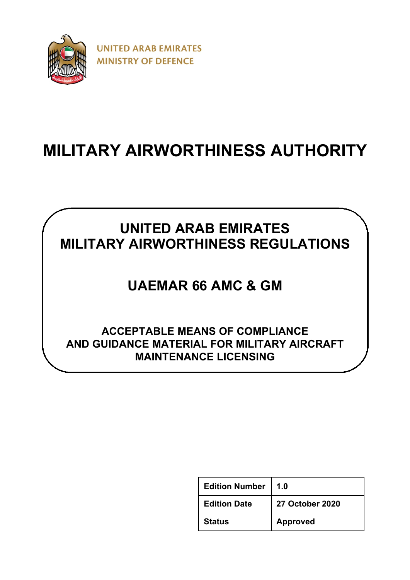

**UNITED ARAB EMIRATES MINISTRY OF DEFENCE** 

# **MILITARY AIRWORTHINESS AUTHORITY**

# **UNITED ARAB EMIRATES MILITARY AIRWORTHINESS REGULATIONS**

# **UAEMAR 66 AMC & GM**

# **ACCEPTABLE MEANS OF COMPLIANCE AND GUIDANCE MATERIAL FOR MILITARY AIRCRAFT MAINTENANCE LICENSING**

| <b>Edition Number</b> | 1.0                    |
|-----------------------|------------------------|
| <b>Edition Date</b>   | <b>27 October 2020</b> |
| <b>Status</b>         | <b>Approved</b>        |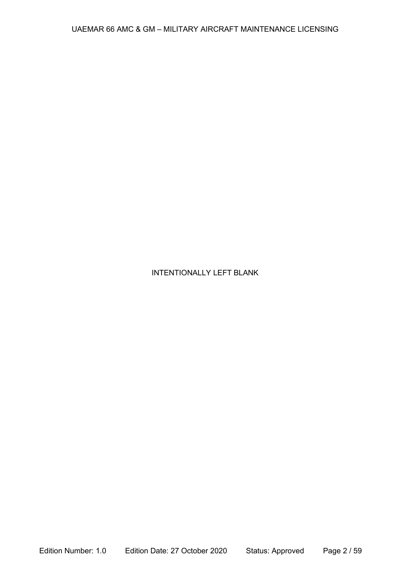# INTENTIONALLY LEFT BLANK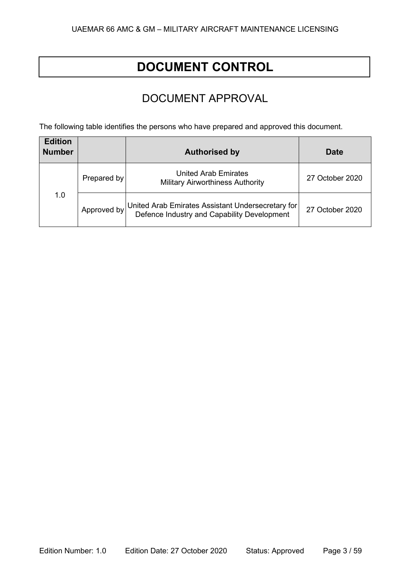# **DOCUMENT CONTROL**

# DOCUMENT APPROVAL

The following table identifies the persons who have prepared and approved this document.

| <b>Edition</b><br><b>Number</b> |             | <b>Authorised by</b>                                                                             | Date            |
|---------------------------------|-------------|--------------------------------------------------------------------------------------------------|-----------------|
|                                 | Prepared by | United Arab Emirates<br><b>Military Airworthiness Authority</b>                                  | 27 October 2020 |
| 1.0                             | Approved by | United Arab Emirates Assistant Undersecretary for<br>Defence Industry and Capability Development | 27 October 2020 |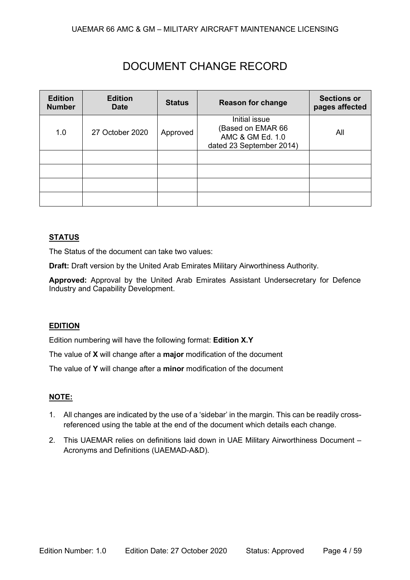# DOCUMENT CHANGE RECORD

| <b>Edition</b><br><b>Number</b> | <b>Edition</b><br><b>Date</b> | <b>Status</b> | <b>Reason for change</b>                                                           | <b>Sections or</b><br>pages affected |
|---------------------------------|-------------------------------|---------------|------------------------------------------------------------------------------------|--------------------------------------|
| 1.0                             | 27 October 2020               | Approved      | Initial issue<br>(Based on EMAR 66<br>AMC & GM Ed. 1.0<br>dated 23 September 2014) | All                                  |
|                                 |                               |               |                                                                                    |                                      |
|                                 |                               |               |                                                                                    |                                      |
|                                 |                               |               |                                                                                    |                                      |
|                                 |                               |               |                                                                                    |                                      |

# **STATUS**

The Status of the document can take two values:

**Draft:** Draft version by the United Arab Emirates Military Airworthiness Authority.

**Approved:** Approval by the United Arab Emirates Assistant Undersecretary for Defence Industry and Capability Development.

#### **EDITION**

Edition numbering will have the following format: **Edition X.Y**

The value of **X** will change after a **major** modification of the document

The value of **Y** will change after a **minor** modification of the document

#### **NOTE:**

- 1. All changes are indicated by the use of a 'sidebar' in the margin. This can be readily crossreferenced using the table at the end of the document which details each change.
- 2. This UAEMAR relies on definitions laid down in UAE Military Airworthiness Document Acronyms and Definitions (UAEMAD-A&D).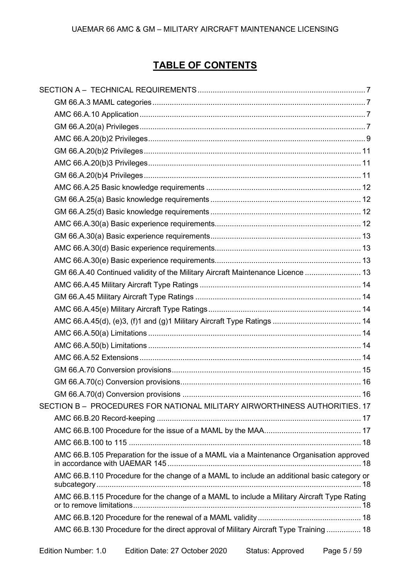# **TABLE OF CONTENTS**

| GM 66.A.40 Continued validity of the Military Aircraft Maintenance Licence  13             |  |
|--------------------------------------------------------------------------------------------|--|
|                                                                                            |  |
|                                                                                            |  |
|                                                                                            |  |
|                                                                                            |  |
|                                                                                            |  |
|                                                                                            |  |
|                                                                                            |  |
|                                                                                            |  |
|                                                                                            |  |
|                                                                                            |  |
| SECTION B - PROCEDURES FOR NATIONAL MILITARY AIRWORTHINESS AUTHORITIES, 17                 |  |
|                                                                                            |  |
|                                                                                            |  |
|                                                                                            |  |
| AMC 66.B.105 Preparation for the issue of a MAML via a Maintenance Organisation approved   |  |
| AMC 66.B.110 Procedure for the change of a MAML to include an additional basic category or |  |
| AMC 66.B.115 Procedure for the change of a MAML to include a Military Aircraft Type Rating |  |
|                                                                                            |  |
| AMC 66.B.130 Procedure for the direct approval of Military Aircraft Type Training  18      |  |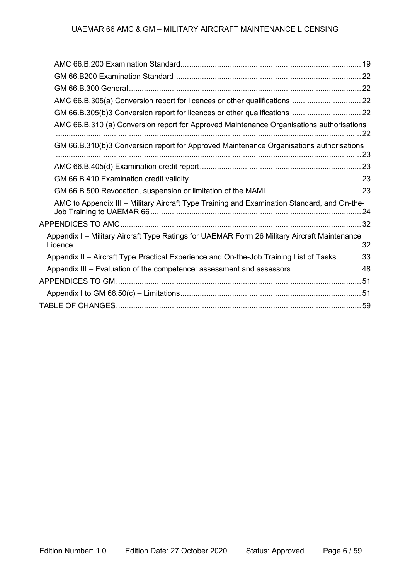| AMC 66.B.310 (a) Conversion report for Approved Maintenance Organisations authorisations     |  |
|----------------------------------------------------------------------------------------------|--|
| GM 66.B.310(b)3 Conversion report for Approved Maintenance Organisations authorisations      |  |
|                                                                                              |  |
|                                                                                              |  |
|                                                                                              |  |
| AMC to Appendix III - Military Aircraft Type Training and Examination Standard, and On-the-  |  |
|                                                                                              |  |
| Appendix I - Military Aircraft Type Ratings for UAEMAR Form 26 Military Aircraft Maintenance |  |
| Appendix II – Aircraft Type Practical Experience and On-the-Job Training List of Tasks  33   |  |
| Appendix III - Evaluation of the competence: assessment and assessors  48                    |  |
|                                                                                              |  |
|                                                                                              |  |
|                                                                                              |  |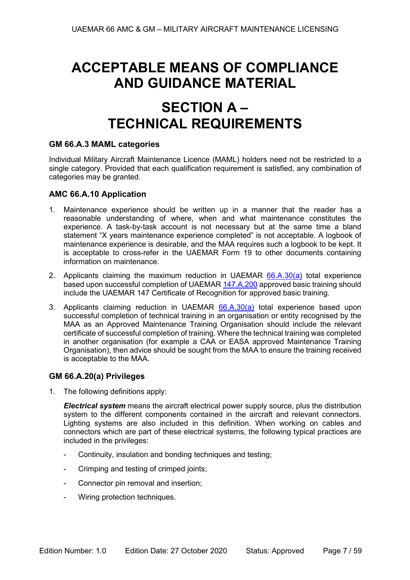# **ACCEPTABLE MEANS OF COMPLIANCE AND GUIDANCE MATERIAL**

# **SECTION A – TECHNICAL REQUIREMENTS**

# <span id="page-6-1"></span><span id="page-6-0"></span>**GM 66.A.3 MAML categories**

Individual Military Aircraft Maintenance Licence (MAML) holders need not be restricted to a single category. Provided that each qualification requirement is satisfied, any combination of categories may be granted.

#### <span id="page-6-2"></span>**AMC 66.A.10 Application**

- 1. Maintenance experience should be written up in a manner that the reader has a reasonable understanding of where, when and what maintenance constitutes the experience. A task-by-task account is not necessary but at the same time a bland statement "X years maintenance experience completed" is not acceptable. A logbook of maintenance experience is desirable, and the MAA requires such a logbook to be kept. It is acceptable to cross-refer in the UAEMAR Form 19 to other documents containing information on maintenance.
- 2. Applicants claiming the maximum reduction in UAEMAR 66.A.30(a) total experience based upon successful completion of UAEMAR 147.A.200 approved basic training should include the UAEMAR 147 Certificate of Recognition for approved basic training.
- 3. Applicants claiming reduction in UAEMAR 66.A.30(a) total experience based upon successful completion of technical training in an organisation or entity recognised by the MAA as an Approved Maintenance Training Organisation should include the relevant certificate of successful completion of training. Where the technical training was completed in another organisation (for example a CAA or EASA approved Maintenance Training Organisation), then advice should be sought from the MAA to ensure the training received is acceptable to the MAA.

# <span id="page-6-3"></span>**GM 66.A.20(a) Privileges**

1. The following definitions apply:

*Electrical system* means the aircraft electrical power supply source, plus the distribution system to the different components contained in the aircraft and relevant connectors. Lighting systems are also included in this definition. When working on cables and connectors which are part of these electrical systems, the following typical practices are included in the privileges:

- Continuity, insulation and bonding techniques and testing;
- Crimping and testing of crimped joints;
- Connector pin removal and insertion;
- Wiring protection techniques.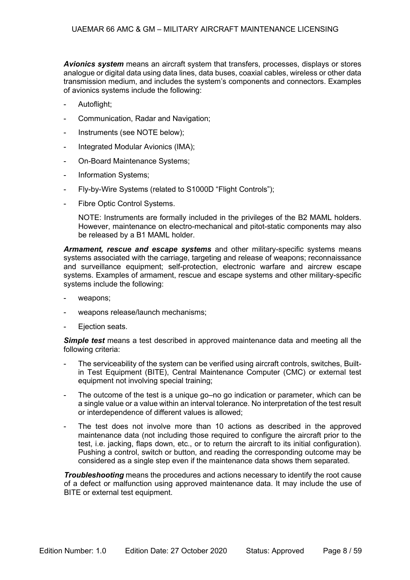*Avionics system* means an aircraft system that transfers, processes, displays or stores analogue or digital data using data lines, data buses, coaxial cables, wireless or other data transmission medium, and includes the system's components and connectors. Examples of avionics systems include the following:

- Autoflight:
- Communication, Radar and Navigation;
- Instruments (see NOTE below);
- Integrated Modular Avionics (IMA);
- On-Board Maintenance Systems;
- Information Systems;
- Fly-by-Wire Systems (related to S1000D "Flight Controls");
- Fibre Optic Control Systems.

NOTE: Instruments are formally included in the privileges of the B2 MAML holders. However, maintenance on electro-mechanical and pitot-static components may also be released by a B1 MAML holder.

*Armament, rescue and escape systems* and other military-specific systems means systems associated with the carriage, targeting and release of weapons; reconnaissance and surveillance equipment; self-protection, electronic warfare and aircrew escape systems. Examples of armament, rescue and escape systems and other military-specific systems include the following:

- weapons:
- weapons release/launch mechanisms;
- Ejection seats.

*Simple test* means a test described in approved maintenance data and meeting all the following criteria:

- The serviceability of the system can be verified using aircraft controls, switches, Builtin Test Equipment (BITE), Central Maintenance Computer (CMC) or external test equipment not involving special training;
- The outcome of the test is a unique go–no go indication or parameter, which can be a single value or a value within an interval tolerance. No interpretation of the test result or interdependence of different values is allowed;
- The test does not involve more than 10 actions as described in the approved maintenance data (not including those required to configure the aircraft prior to the test, i.e. jacking, flaps down, etc., or to return the aircraft to its initial configuration). Pushing a control, switch or button, and reading the corresponding outcome may be considered as a single step even if the maintenance data shows them separated.

*Troubleshooting* means the procedures and actions necessary to identify the root cause of a defect or malfunction using approved maintenance data. It may include the use of BITE or external test equipment.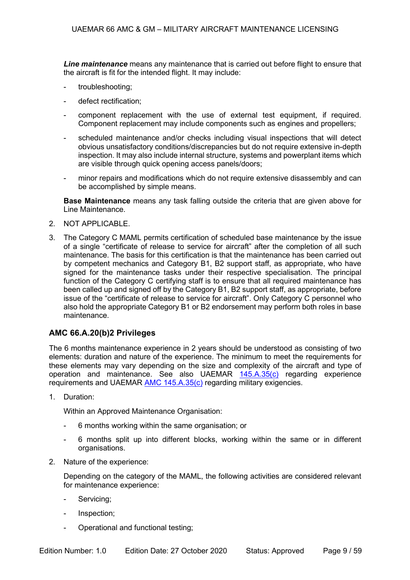*Line maintenance* means any maintenance that is carried out before flight to ensure that the aircraft is fit for the intended flight. It may include:

- troubleshooting;
- defect rectification;
- component replacement with the use of external test equipment, if required. Component replacement may include components such as engines and propellers;
- scheduled maintenance and/or checks including visual inspections that will detect obvious unsatisfactory conditions/discrepancies but do not require extensive in-depth inspection. It may also include internal structure, systems and powerplant items which are visible through quick opening access panels/doors;
- minor repairs and modifications which do not require extensive disassembly and can be accomplished by simple means.

**Base Maintenance** means any task falling outside the criteria that are given above for Line Maintenance.

- 2. NOT APPLICABLE.
- 3. The Category C MAML permits certification of scheduled base maintenance by the issue of a single "certificate of release to service for aircraft" after the completion of all such maintenance. The basis for this certification is that the maintenance has been carried out by competent mechanics and Category B1, B2 support staff, as appropriate, who have signed for the maintenance tasks under their respective specialisation. The principal function of the Category C certifying staff is to ensure that all required maintenance has been called up and signed off by the Category B1, B2 support staff, as appropriate, before issue of the "certificate of release to service for aircraft". Only Category C personnel who also hold the appropriate Category B1 or B2 endorsement may perform both roles in base maintenance.

# <span id="page-8-0"></span>**AMC 66.A.20(b)2 Privileges**

The 6 months maintenance experience in 2 years should be understood as consisting of two elements: duration and nature of the experience. The minimum to meet the requirements for these elements may vary depending on the size and complexity of the aircraft and type of operation and maintenance. See also UAEMAR 145.A.35(c) regarding experience requirements and UAEMAR AMC 145.A.35(c) regarding military exigencies.

1. Duration:

Within an Approved Maintenance Organisation:

- 6 months working within the same organisation; or
- 6 months split up into different blocks, working within the same or in different organisations.
- 2. Nature of the experience:

Depending on the category of the MAML, the following activities are considered relevant for maintenance experience:

- Servicing;
- Inspection:
- Operational and functional testing;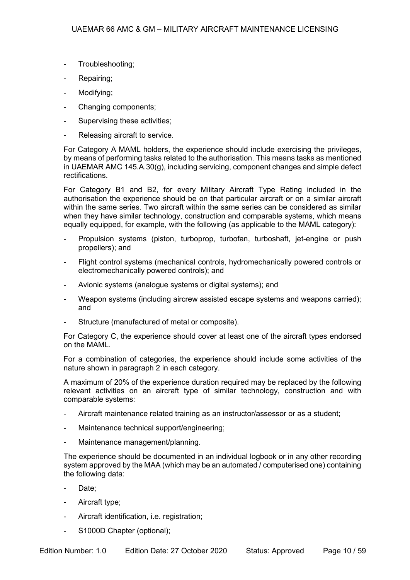- Troubleshooting;
- Repairing;
- Modifying;
- Changing components;
- Supervising these activities:
- Releasing aircraft to service.

For Category A MAML holders, the experience should include exercising the privileges, by means of performing tasks related to the authorisation. This means tasks as mentioned in UAEMAR AMC 145.A.30(g), including servicing, component changes and simple defect rectifications.

For Category B1 and B2, for every Military Aircraft Type Rating included in the authorisation the experience should be on that particular aircraft or on a similar aircraft within the same series. Two aircraft within the same series can be considered as similar when they have similar technology, construction and comparable systems, which means equally equipped, for example, with the following (as applicable to the MAML category):

- Propulsion systems (piston, turboprop, turbofan, turboshaft, jet-engine or push propellers); and
- Flight control systems (mechanical controls, hydromechanically powered controls or electromechanically powered controls); and
- Avionic systems (analogue systems or digital systems); and
- Weapon systems (including aircrew assisted escape systems and weapons carried); and
- Structure (manufactured of metal or composite).

For Category C, the experience should cover at least one of the aircraft types endorsed on the MAML.

For a combination of categories, the experience should include some activities of the nature shown in paragraph 2 in each category.

A maximum of 20% of the experience duration required may be replaced by the following relevant activities on an aircraft type of similar technology, construction and with comparable systems:

- Aircraft maintenance related training as an instructor/assessor or as a student;
- Maintenance technical support/engineering;
- Maintenance management/planning.

The experience should be documented in an individual logbook or in any other recording system approved by the MAA (which may be an automated / computerised one) containing the following data:

- Date:
- Aircraft type;
- Aircraft identification, i.e. registration;
- S1000D Chapter (optional);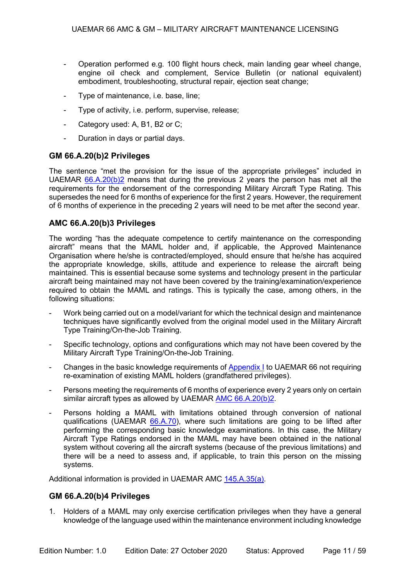- Operation performed e.g. 100 flight hours check, main landing gear wheel change, engine oil check and complement, Service Bulletin (or national equivalent) embodiment, troubleshooting, structural repair, ejection seat change;
- Type of maintenance, i.e. base, line;
- Type of activity, i.e. perform, supervise, release;
- Category used: A, B1, B2 or C;
- Duration in days or partial days.

#### <span id="page-10-0"></span>**GM 66.A.20(b)2 Privileges**

The sentence "met the provision for the issue of the appropriate privileges" included in UAEMAR 66.A.20(b)2 means that during the previous 2 years the person has met all the requirements for the endorsement of the corresponding Military Aircraft Type Rating. This supersedes the need for 6 months of experience for the first 2 years. However, the requirement of 6 months of experience in the preceding 2 years will need to be met after the second year.

# <span id="page-10-1"></span>**AMC 66.A.20(b)3 Privileges**

The wording "has the adequate competence to certify maintenance on the corresponding aircraft" means that the MAML holder and, if applicable, the Approved Maintenance Organisation where he/she is contracted/employed, should ensure that he/she has acquired the appropriate knowledge, skills, attitude and experience to release the aircraft being maintained. This is essential because some systems and technology present in the particular aircraft being maintained may not have been covered by the training/examination/experience required to obtain the MAML and ratings. This is typically the case, among others, in the following situations:

- Work being carried out on a model/variant for which the technical design and maintenance techniques have significantly evolved from the original model used in the Military Aircraft Type Training/On-the-Job Training.
- Specific technology, options and configurations which may not have been covered by the Military Aircraft Type Training/On-the-Job Training.
- Changes in the basic knowledge requirements of Appendix I to UAEMAR 66 not requiring re-examination of existing MAML holders (grandfathered privileges).
- Persons meeting the requirements of 6 months of experience every 2 years only on certain similar aircraft types as allowed by UAEMAR AMC 66.A.20(b)2.
- Persons holding a MAML with limitations obtained through conversion of national qualifications (UAEMAR 66.A.70), where such limitations are going to be lifted after performing the corresponding basic knowledge examinations. In this case, the Military Aircraft Type Ratings endorsed in the MAML may have been obtained in the national system without covering all the aircraft systems (because of the previous limitations) and there will be a need to assess and, if applicable, to train this person on the missing systems.

Additional information is provided in UAEMAR AMC 145.A.35(a).

#### <span id="page-10-2"></span>**GM 66.A.20(b)4 Privileges**

1. Holders of a MAML may only exercise certification privileges when they have a general knowledge of the language used within the maintenance environment including knowledge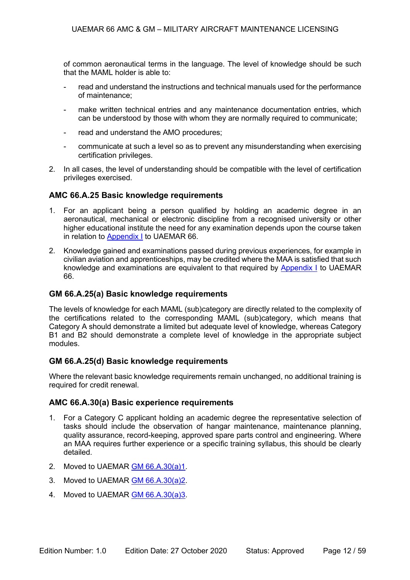of common aeronautical terms in the language. The level of knowledge should be such that the MAML holder is able to:

- read and understand the instructions and technical manuals used for the performance of maintenance;
- make written technical entries and any maintenance documentation entries, which can be understood by those with whom they are normally required to communicate;
- read and understand the AMO procedures;
- communicate at such a level so as to prevent any misunderstanding when exercising certification privileges.
- 2. In all cases, the level of understanding should be compatible with the level of certification privileges exercised.

#### <span id="page-11-0"></span>**AMC 66.A.25 Basic knowledge requirements**

- 1. For an applicant being a person qualified by holding an academic degree in an aeronautical, mechanical or electronic discipline from a recognised university or other higher educational institute the need for any examination depends upon the course taken in relation to Appendix I to UAEMAR 66.
- 2. Knowledge gained and examinations passed during previous experiences, for example in civilian aviation and apprenticeships, may be credited where the MAA is satisfied that such knowledge and examinations are equivalent to that required by Appendix I to UAEMAR 66.

#### <span id="page-11-1"></span>**GM 66.A.25(a) Basic knowledge requirements**

The levels of knowledge for each MAML (sub)category are directly related to the complexity of the certifications related to the corresponding MAML (sub)category, which means that Category A should demonstrate a limited but adequate level of knowledge, whereas Category B1 and B2 should demonstrate a complete level of knowledge in the appropriate subject modules.

#### <span id="page-11-2"></span>**GM 66.A.25(d) Basic knowledge requirements**

Where the relevant basic knowledge requirements remain unchanged, no additional training is required for credit renewal.

#### <span id="page-11-3"></span>**AMC 66.A.30(a) Basic experience requirements**

- 1. For a Category C applicant holding an academic degree the representative selection of tasks should include the observation of hangar maintenance, maintenance planning, quality assurance, record-keeping, approved spare parts control and engineering. Where an MAA requires further experience or a specific training syllabus, this should be clearly detailed.
- 2. Moved to UAEMAR [GM 66.A.30\(a\)1.](#page-50-0)
- 3. Moved to UAEMAR [GM 66.A.30\(a\)2.](#page-50-0)
- <span id="page-11-4"></span>4. Moved to UAEMAR [GM 66.A.30\(a\)3.](#page-50-0)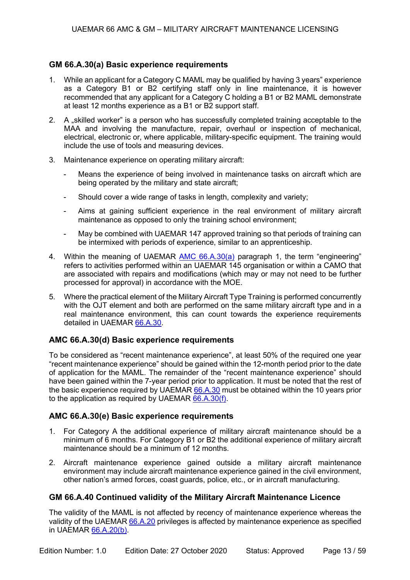# **GM 66.A.30(a) Basic experience requirements**

- 1. While an applicant for a Category C MAML may be qualified by having 3 years" experience as a Category B1 or B2 certifying staff only in line maintenance, it is however recommended that any applicant for a Category C holding a B1 or B2 MAML demonstrate at least 12 months experience as a B1 or B2 support staff.
- 2. A "skilled worker" is a person who has successfully completed training acceptable to the MAA and involving the manufacture, repair, overhaul or inspection of mechanical, electrical, electronic or, where applicable, military-specific equipment. The training would include the use of tools and measuring devices.
- 3. Maintenance experience on operating military aircraft:
	- Means the experience of being involved in maintenance tasks on aircraft which are being operated by the military and state aircraft;
	- Should cover a wide range of tasks in length, complexity and variety;
	- Aims at gaining sufficient experience in the real environment of military aircraft maintenance as opposed to only the training school environment;
	- May be combined with UAEMAR 147 approved training so that periods of training can be intermixed with periods of experience, similar to an apprenticeship.
- 4. Within the meaning of [UAEMAR AMC 66.A.30\(a\)](#page-11-3) paragraph 1, the term "engineering" refers to activities performed within an UAEMAR 145 organisation or within a CAMO that are associated with repairs and modifications (which may or may not need to be further processed for approval) in accordance with the MOE.
- 5. Where the practical element of the Military Aircraft Type Training is performed concurrently with the OJT element and both are performed on the same military aircraft type and in a real maintenance environment, this can count towards the experience requirements detailed in UAEMAR 66.A.30.

# <span id="page-12-0"></span>**AMC 66.A.30(d) Basic experience requirements**

To be considered as "recent maintenance experience", at least 50% of the required one year "recent maintenance experience" should be gained within the 12-month period prior to the date of application for the MAML. The remainder of the "recent maintenance experience" should have been gained within the 7-year period prior to application. It must be noted that the rest of the basic experience required by UAEMAR 66.A.30 must be obtained within the 10 years prior to the application as required by UAEMAR 66.A.30(f).

#### <span id="page-12-1"></span>**AMC 66.A.30(e) Basic experience requirements**

- 1. For Category A the additional experience of military aircraft maintenance should be a minimum of 6 months. For Category B1 or B2 the additional experience of military aircraft maintenance should be a minimum of 12 months.
- 2. Aircraft maintenance experience gained outside a military aircraft maintenance environment may include aircraft maintenance experience gained in the civil environment, other nation's armed forces, coast guards, police, etc., or in aircraft manufacturing.

#### <span id="page-12-2"></span>**GM 66.A.40 Continued validity of the Military Aircraft Maintenance Licence**

The validity of the MAML is not affected by recency of maintenance experience whereas the validity of the UAEMAR 66.A.20 privileges is affected by maintenance experience as specified in UAEMAR 66.A.20(b).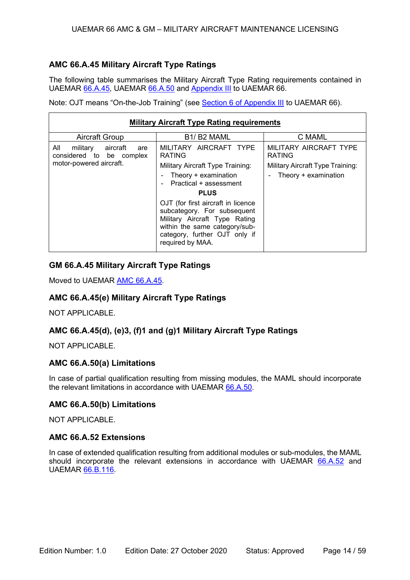# <span id="page-13-0"></span>**AMC 66.A.45 Military Aircraft Type Ratings**

The following table summarises the Military Aircraft Type Rating requirements contained in UAEMAR 66.A.45, UAEMAR 66.A.50 and Appendix III to UAEMAR 66.

Note: OJT means "On-the-Job Training" (see Section 6 of Appendix III to UAEMAR 66).

| <b>Military Aircraft Type Rating requirements</b>              |                                                                                                                                                                                          |                                         |  |  |  |  |  |  |  |
|----------------------------------------------------------------|------------------------------------------------------------------------------------------------------------------------------------------------------------------------------------------|-----------------------------------------|--|--|--|--|--|--|--|
| <b>Aircraft Group</b>                                          | B1/B2 MAML                                                                                                                                                                               | C MAML                                  |  |  |  |  |  |  |  |
| All<br>aircraft<br>military<br>are<br>considered to be complex | MILITARY AIRCRAFT TYPE<br><b>RATING</b>                                                                                                                                                  | MILITARY AIRCRAFT TYPE<br><b>RATING</b> |  |  |  |  |  |  |  |
| motor-powered aircraft.                                        | Military Aircraft Type Training:                                                                                                                                                         | Military Aircraft Type Training:        |  |  |  |  |  |  |  |
|                                                                | Theory + examination<br>Practical + assessment                                                                                                                                           | Theory + examination                    |  |  |  |  |  |  |  |
|                                                                | <b>PLUS</b>                                                                                                                                                                              |                                         |  |  |  |  |  |  |  |
|                                                                | OJT (for first aircraft in licence<br>subcategory. For subsequent<br>Military Aircraft Type Rating<br>within the same category/sub-<br>category, further OJT only if<br>required by MAA. |                                         |  |  |  |  |  |  |  |

# <span id="page-13-1"></span>**GM 66.A.45 Military Aircraft Type Ratings**

Moved to UAEMAR AMC 66.A.45.

# <span id="page-13-2"></span>**AMC 66.A.45(e) Military Aircraft Type Ratings**

NOT APPLICABLE.

# <span id="page-13-3"></span>**AMC 66.A.45(d), (e)3, (f)1 and (g)1 Military Aircraft Type Ratings**

NOT APPLICABLE.

# <span id="page-13-4"></span>**AMC 66.A.50(a) Limitations**

In case of partial qualification resulting from missing modules, the MAML should incorporate the relevant limitations in accordance with UAEMAR 66.A.50.

# <span id="page-13-5"></span>**AMC 66.A.50(b) Limitations**

NOT APPLICABLE.

#### <span id="page-13-6"></span>**AMC 66.A.52 Extensions**

<span id="page-13-7"></span>In case of extended qualification resulting from additional modules or sub-modules, the MAML should incorporate the relevant extensions in accordance with UAEMAR 66.A.52 and UAEMAR 66.B.116.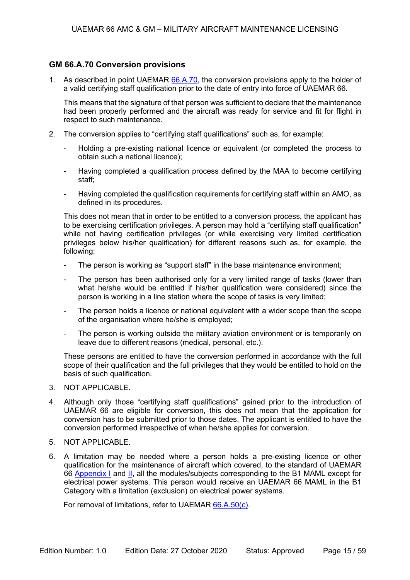# **GM 66.A.70 Conversion provisions**

1. As described in point UAEMAR 66.A.70, the conversion provisions apply to the holder of a valid certifying staff qualification prior to the date of entry into force of UAEMAR 66.

This means that the signature of that person was sufficient to declare that the maintenance had been properly performed and the aircraft was ready for service and fit for flight in respect to such maintenance.

- 2. The conversion applies to "certifying staff qualifications" such as, for example:
	- Holding a pre-existing national licence or equivalent (or completed the process to obtain such a national licence);
	- Having completed a qualification process defined by the MAA to become certifying staff;
	- Having completed the qualification requirements for certifying staff within an AMO, as defined in its procedures.

This does not mean that in order to be entitled to a conversion process, the applicant has to be exercising certification privileges. A person may hold a "certifying staff qualification" while not having certification privileges (or while exercising very limited certification privileges below his/her qualification) for different reasons such as, for example, the following:

- The person is working as "support staff" in the base maintenance environment;
- The person has been authorised only for a very limited range of tasks (lower than what he/she would be entitled if his/her qualification were considered) since the person is working in a line station where the scope of tasks is very limited;
- The person holds a licence or national equivalent with a wider scope than the scope of the organisation where he/she is employed;
- The person is working outside the military aviation environment or is temporarily on leave due to different reasons (medical, personal, etc.).

These persons are entitled to have the conversion performed in accordance with the full scope of their qualification and the full privileges that they would be entitled to hold on the basis of such qualification.

- 3. NOT APPLICABLE.
- 4. Although only those "certifying staff qualifications" gained prior to the introduction of UAEMAR 66 are eligible for conversion, this does not mean that the application for conversion has to be submitted prior to those dates. The applicant is entitled to have the conversion performed irrespective of when he/she applies for conversion.
- 5. NOT APPLICABLE.
- 6. A limitation may be needed where a person holds a pre-existing licence or other qualification for the maintenance of aircraft which covered, to the standard of UAEMAR 66 Appendix I and II, all the modules/subjects corresponding to the B1 MAML except for electrical power systems. This person would receive an UAEMAR 66 MAML in the B1 Category with a limitation (exclusion) on electrical power systems.

<span id="page-14-0"></span>For removal of limitations, refer to UAEMAR 66.A.50(c).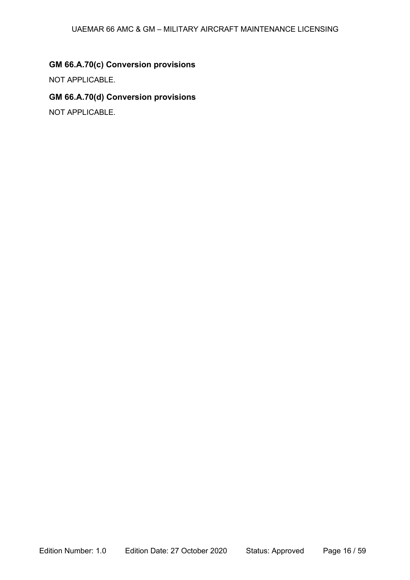# **GM 66.A.70(c) Conversion provisions**

NOT APPLICABLE.

# <span id="page-15-0"></span>**GM 66.A.70(d) Conversion provisions**

NOT APPLICABLE.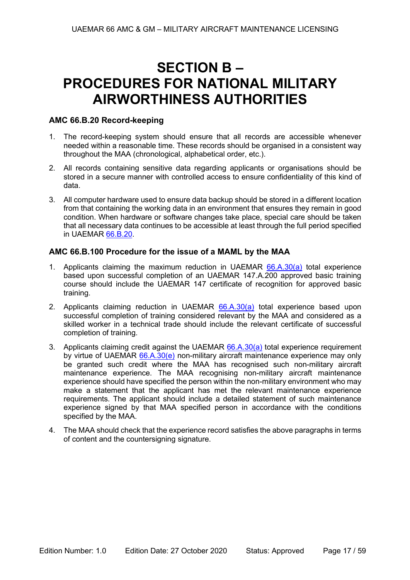# <span id="page-16-0"></span>**SECTION B – PROCEDURES FOR NATIONAL MILITARY AIRWORTHINESS AUTHORITIES**

### <span id="page-16-1"></span>**AMC 66.B.20 Record-keeping**

- 1. The record-keeping system should ensure that all records are accessible whenever needed within a reasonable time. These records should be organised in a consistent way throughout the MAA (chronological, alphabetical order, etc.).
- 2. All records containing sensitive data regarding applicants or organisations should be stored in a secure manner with controlled access to ensure confidentiality of this kind of data.
- 3. All computer hardware used to ensure data backup should be stored in a different location from that containing the working data in an environment that ensures they remain in good condition. When hardware or software changes take place, special care should be taken that all necessary data continues to be accessible at least through the full period specified in UAEMAR 66.B.20.

# <span id="page-16-2"></span>**AMC 66.B.100 Procedure for the issue of a MAML by the MAA**

- 1. Applicants claiming the maximum reduction in UAEMAR 66.A.30(a) total experience based upon successful completion of an UAEMAR 147.A.200 approved basic training course should include the UAEMAR 147 certificate of recognition for approved basic training.
- 2. Applicants claiming reduction in UAEMAR 66.A.30(a) total experience based upon successful completion of training considered relevant by the MAA and considered as a skilled worker in a technical trade should include the relevant certificate of successful completion of training.
- 3. Applicants claiming credit against the UAEMAR 66.A.30(a) total experience requirement by virtue of UAEMAR 66.A.30(e) non-military aircraft maintenance experience may only be granted such credit where the MAA has recognised such non-military aircraft maintenance experience. The MAA recognising non-military aircraft maintenance experience should have specified the person within the non-military environment who may make a statement that the applicant has met the relevant maintenance experience requirements. The applicant should include a detailed statement of such maintenance experience signed by that MAA specified person in accordance with the conditions specified by the MAA.
- <span id="page-16-3"></span>4. The MAA should check that the experience record satisfies the above paragraphs in terms of content and the countersigning signature.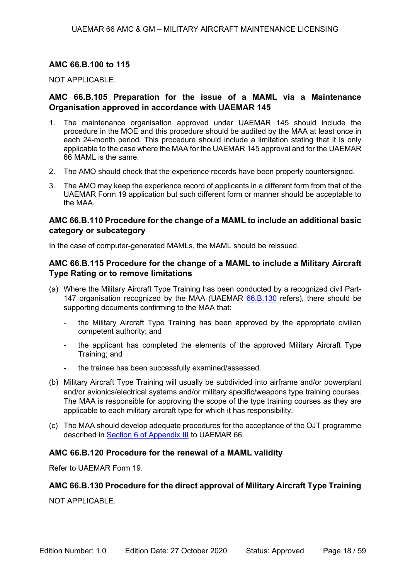# **AMC 66.B.100 to 115**

#### NOT APPLICABLE.

# <span id="page-17-0"></span>**AMC 66.B.105 Preparation for the issue of a MAML via a Maintenance Organisation approved in accordance with UAEMAR 145**

- 1. The maintenance organisation approved under UAEMAR 145 should include the procedure in the MOE and this procedure should be audited by the MAA at least once in each 24-month period. This procedure should include a limitation stating that it is only applicable to the case where the MAA for the UAEMAR 145 approval and for the UAEMAR 66 MAML is the same.
- 2. The AMO should check that the experience records have been properly countersigned.
- 3. The AMO may keep the experience record of applicants in a different form from that of the UAEMAR Form 19 application but such different form or manner should be acceptable to the MAA.

# <span id="page-17-1"></span>**AMC 66.B.110 Procedure for the change of a MAML to include an additional basic category or subcategory**

In the case of computer-generated MAMLs, the MAML should be reissued.

# <span id="page-17-2"></span>**AMC 66.B.115 Procedure for the change of a MAML to include a Military Aircraft Type Rating or to remove limitations**

- (a) Where the Military Aircraft Type Training has been conducted by a recognized civil Part-147 organisation recognized by the MAA (UAEMAR 66.B.130 refers), there should be supporting documents confirming to the MAA that:
	- the Military Aircraft Type Training has been approved by the appropriate civilian competent authority; and
	- the applicant has completed the elements of the approved Military Aircraft Type Training; and
	- the trainee has been successfully examined/assessed.
- (b) Military Aircraft Type Training will usually be subdivided into airframe and/or powerplant and/or avionics/electrical systems and/or military specific/weapons type training courses. The MAA is responsible for approving the scope of the type training courses as they are applicable to each military aircraft type for which it has responsibility.
- (c) The MAA should develop adequate procedures for the acceptance of the OJT programme described in Section 6 of Appendix III to UAEMAR 66.

# <span id="page-17-3"></span>**AMC 66.B.120 Procedure for the renewal of a MAML validity**

Refer to UAEMAR Form 19.

# <span id="page-17-4"></span>**AMC 66.B.130 Procedure for the direct approval of Military Aircraft Type Training**

NOT APPLICABLE.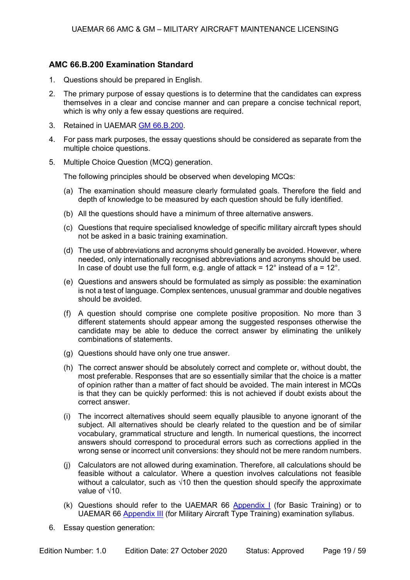# <span id="page-18-0"></span>**AMC 66.B.200 Examination Standard**

- 1. Questions should be prepared in English.
- 2. The primary purpose of essay questions is to determine that the candidates can express themselves in a clear and concise manner and can prepare a concise technical report, which is why only a few essay questions are required.
- 3. Retained in UAEMAR GM 66.B.200.
- 4. For pass mark purposes, the essay questions should be considered as separate from the multiple choice questions.
- 5. Multiple Choice Question (MCQ) generation.

The following principles should be observed when developing MCQs:

- (a) The examination should measure clearly formulated goals. Therefore the field and depth of knowledge to be measured by each question should be fully identified.
- (b) All the questions should have a minimum of three alternative answers.
- (c) Questions that require specialised knowledge of specific military aircraft types should not be asked in a basic training examination.
- (d) The use of abbreviations and acronyms should generally be avoided. However, where needed, only internationally recognised abbreviations and acronyms should be used. In case of doubt use the full form, e.g. angle of attack =  $12^{\circ}$  instead of a =  $12^{\circ}$ .
- (e) Questions and answers should be formulated as simply as possible: the examination is not a test of language. Complex sentences, unusual grammar and double negatives should be avoided.
- (f) A question should comprise one complete positive proposition. No more than 3 different statements should appear among the suggested responses otherwise the candidate may be able to deduce the correct answer by eliminating the unlikely combinations of statements.
- (g) Questions should have only one true answer.
- (h) The correct answer should be absolutely correct and complete or, without doubt, the most preferable. Responses that are so essentially similar that the choice is a matter of opinion rather than a matter of fact should be avoided. The main interest in MCQs is that they can be quickly performed: this is not achieved if doubt exists about the correct answer.
- (i) The incorrect alternatives should seem equally plausible to anyone ignorant of the subject. All alternatives should be clearly related to the question and be of similar vocabulary, grammatical structure and length. In numerical questions, the incorrect answers should correspond to procedural errors such as corrections applied in the wrong sense or incorrect unit conversions: they should not be mere random numbers.
- (j) Calculators are not allowed during examination. Therefore, all calculations should be feasible without a calculator. Where a question involves calculations not feasible without a calculator, such as  $\sqrt{10}$  then the question should specify the approximate value of √10.
- (k) Questions should refer to the UAEMAR 66 Appendix I (for Basic Training) or to UAEMAR 66 Appendix III (for Military Aircraft Type Training) examination syllabus.
- 6. Essay question generation: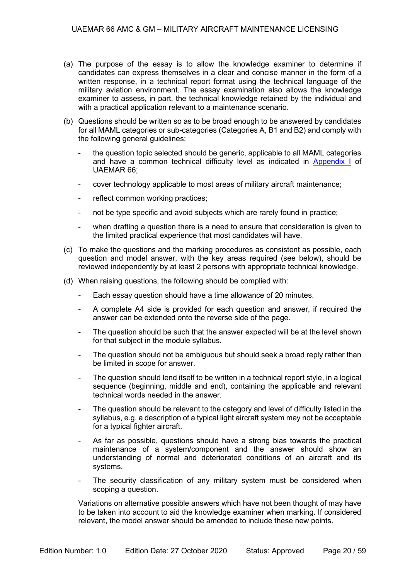- (a) The purpose of the essay is to allow the knowledge examiner to determine if candidates can express themselves in a clear and concise manner in the form of a written response, in a technical report format using the technical language of the military aviation environment. The essay examination also allows the knowledge examiner to assess, in part, the technical knowledge retained by the individual and with a practical application relevant to a maintenance scenario.
- (b) Questions should be written so as to be broad enough to be answered by candidates for all MAML categories or sub-categories (Categories A, B1 and B2) and comply with the following general guidelines:
	- the question topic selected should be generic, applicable to all MAML categories and have a common technical difficulty level as indicated in Appendix I of UAEMAR 66;
	- cover technology applicable to most areas of military aircraft maintenance;
	- reflect common working practices;
	- not be type specific and avoid subjects which are rarely found in practice;
	- when drafting a question there is a need to ensure that consideration is given to the limited practical experience that most candidates will have.
- (c) To make the questions and the marking procedures as consistent as possible, each question and model answer, with the key areas required (see below), should be reviewed independently by at least 2 persons with appropriate technical knowledge.
- (d) When raising questions, the following should be complied with:
	- Each essay question should have a time allowance of 20 minutes.
	- A complete A4 side is provided for each question and answer, if required the answer can be extended onto the reverse side of the page.
	- The question should be such that the answer expected will be at the level shown for that subject in the module syllabus.
	- The question should not be ambiguous but should seek a broad reply rather than be limited in scope for answer.
	- The question should lend itself to be written in a technical report style, in a logical sequence (beginning, middle and end), containing the applicable and relevant technical words needed in the answer.
	- The question should be relevant to the category and level of difficulty listed in the syllabus, e.g. a description of a typical light aircraft system may not be acceptable for a typical fighter aircraft.
	- As far as possible, questions should have a strong bias towards the practical maintenance of a system/component and the answer should show an understanding of normal and deteriorated conditions of an aircraft and its systems.
	- The security classification of any military system must be considered when scoping a question.

Variations on alternative possible answers which have not been thought of may have to be taken into account to aid the knowledge examiner when marking. If considered relevant, the model answer should be amended to include these new points.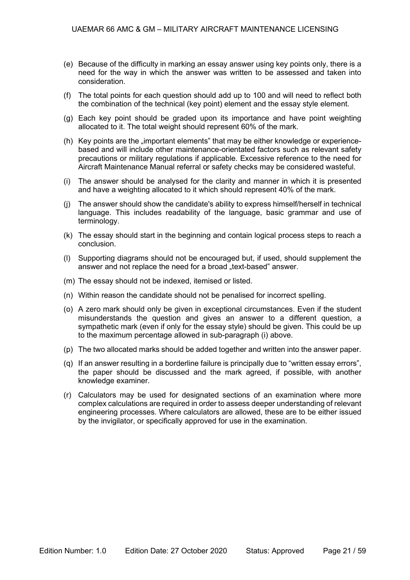- (e) Because of the difficulty in marking an essay answer using key points only, there is a need for the way in which the answer was written to be assessed and taken into consideration.
- (f) The total points for each question should add up to 100 and will need to reflect both the combination of the technical (key point) element and the essay style element.
- (g) Each key point should be graded upon its importance and have point weighting allocated to it. The total weight should represent 60% of the mark.
- (h) Key points are the ... important elements" that may be either knowledge or experiencebased and will include other maintenance-orientated factors such as relevant safety precautions or military regulations if applicable. Excessive reference to the need for Aircraft Maintenance Manual referral or safety checks may be considered wasteful.
- (i) The answer should be analysed for the clarity and manner in which it is presented and have a weighting allocated to it which should represent 40% of the mark.
- (j) The answer should show the candidate's ability to express himself/herself in technical language. This includes readability of the language, basic grammar and use of terminology.
- (k) The essay should start in the beginning and contain logical process steps to reach a conclusion.
- (l) Supporting diagrams should not be encouraged but, if used, should supplement the answer and not replace the need for a broad "text-based" answer.
- (m) The essay should not be indexed, itemised or listed.
- (n) Within reason the candidate should not be penalised for incorrect spelling.
- (o) A zero mark should only be given in exceptional circumstances. Even if the student misunderstands the question and gives an answer to a different question, a sympathetic mark (even if only for the essay style) should be given. This could be up to the maximum percentage allowed in sub-paragraph (i) above.
- (p) The two allocated marks should be added together and written into the answer paper.
- (q) If an answer resulting in a borderline failure is principally due to "written essay errors", the paper should be discussed and the mark agreed, if possible, with another knowledge examiner.
- (r) Calculators may be used for designated sections of an examination where more complex calculations are required in order to assess deeper understanding of relevant engineering processes. Where calculators are allowed, these are to be either issued by the invigilator, or specifically approved for use in the examination.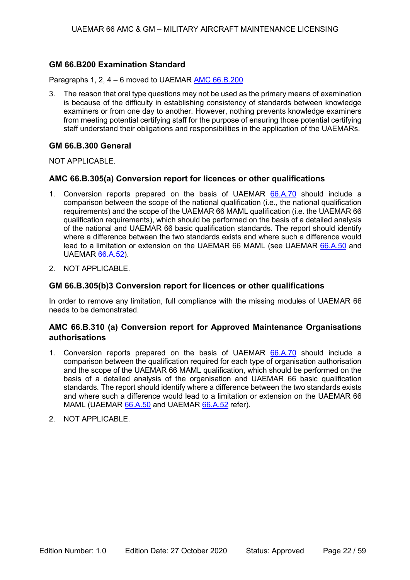# <span id="page-21-0"></span>**GM 66.B200 Examination Standard**

Paragraphs 1, 2, 4 – 6 moved to UAEMAR AMC 66.B.200

3. The reason that oral type questions may not be used as the primary means of examination is because of the difficulty in establishing consistency of standards between knowledge examiners or from one day to another. However, nothing prevents knowledge examiners from meeting potential certifying staff for the purpose of ensuring those potential certifying staff understand their obligations and responsibilities in the application of the UAEMARs.

## <span id="page-21-1"></span>**GM 66.B.300 General**

NOT APPLICABLE.

# <span id="page-21-2"></span>**AMC 66.B.305(a) Conversion report for licences or other qualifications**

- 1. Conversion reports prepared on the basis of UAEMAR 66.A.70 should include a comparison between the scope of the national qualification (i.e., the national qualification requirements) and the scope of the UAEMAR 66 MAML qualification (i.e. the UAEMAR 66 qualification requirements), which should be performed on the basis of a detailed analysis of the national and UAEMAR 66 basic qualification standards. The report should identify where a difference between the two standards exists and where such a difference would lead to a limitation or extension on the UAEMAR 66 MAML (see UAEMAR 66.A.50 and UAEMAR 66.A.52).
- 2. NOT APPLICABLE.

### <span id="page-21-3"></span>**GM 66.B.305(b)3 Conversion report for licences or other qualifications**

In order to remove any limitation, full compliance with the missing modules of UAEMAR 66 needs to be demonstrated.

# <span id="page-21-4"></span>**AMC 66.B.310 (a) Conversion report for Approved Maintenance Organisations authorisations**

- 1. Conversion reports prepared on the basis of UAEMAR 66.A.70 should include a comparison between the qualification required for each type of organisation authorisation and the scope of the UAEMAR 66 MAML qualification, which should be performed on the basis of a detailed analysis of the organisation and UAEMAR 66 basic qualification standards. The report should identify where a difference between the two standards exists and where such a difference would lead to a limitation or extension on the UAEMAR 66 MAML (UAEMAR 66.A.50 and UAEMAR 66.A.52 refer).
- <span id="page-21-5"></span>2. NOT APPLICABLE.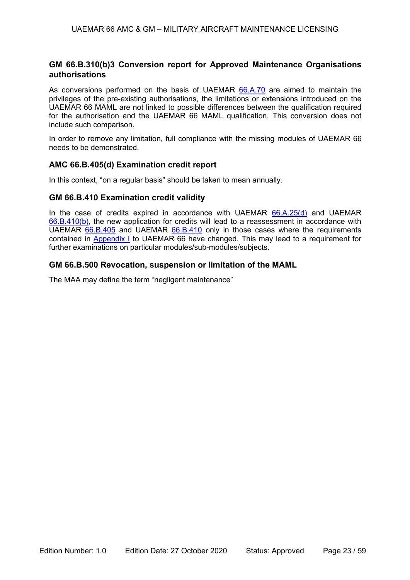# **GM 66.B.310(b)3 Conversion report for Approved Maintenance Organisations authorisations**

As conversions performed on the basis of UAEMAR 66.A.70 are aimed to maintain the privileges of the pre-existing authorisations, the limitations or extensions introduced on the UAEMAR 66 MAML are not linked to possible differences between the qualification required for the authorisation and the UAEMAR 66 MAML qualification. This conversion does not include such comparison.

In order to remove any limitation, full compliance with the missing modules of UAEMAR 66 needs to be demonstrated.

# <span id="page-22-0"></span>**AMC 66.B.405(d) Examination credit report**

In this context, "on a regular basis" should be taken to mean annually.

# <span id="page-22-1"></span>**GM 66.B.410 Examination credit validity**

In the case of credits expired in accordance with UAEMAR 66.A.25(d) and UAEMAR 66.B.410(b), the new application for credits will lead to a reassessment in accordance with UAEMAR 66.B.405 and UAEMAR 66.B.410 only in those cases where the requirements contained in Appendix I to UAEMAR 66 have changed. This may lead to a requirement for further examinations on particular modules/sub-modules/subjects.

# <span id="page-22-2"></span>**GM 66.B.500 Revocation, suspension or limitation of the MAML**

The MAA may define the term "negligent maintenance"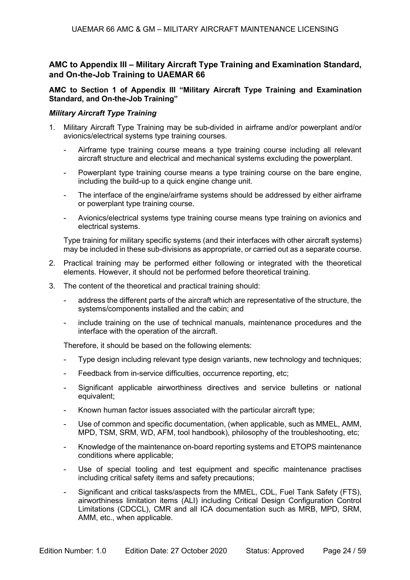# <span id="page-23-0"></span>**AMC to Appendix III – Military Aircraft Type Training and Examination Standard, and On-the-Job Training to UAEMAR 66**

#### **AMC to Section 1 of Appendix III "Military Aircraft Type Training and Examination Standard, and On-the-Job Training"**

#### *Military Aircraft Type Training*

- 1. Military Aircraft Type Training may be sub-divided in airframe and/or powerplant and/or avionics/electrical systems type training courses.
	- Airframe type training course means a type training course including all relevant aircraft structure and electrical and mechanical systems excluding the powerplant.
	- Powerplant type training course means a type training course on the bare engine, including the build-up to a quick engine change unit.
	- The interface of the engine/airframe systems should be addressed by either airframe or powerplant type training course.
	- Avionics/electrical systems type training course means type training on avionics and electrical systems.

Type training for military specific systems (and their interfaces with other aircraft systems) may be included in these sub-divisions as appropriate, or carried out as a separate course.

- 2. Practical training may be performed either following or integrated with the theoretical elements. However, it should not be performed before theoretical training.
- 3. The content of the theoretical and practical training should:
	- address the different parts of the aircraft which are representative of the structure, the systems/components installed and the cabin; and
	- include training on the use of technical manuals, maintenance procedures and the interface with the operation of the aircraft.

Therefore, it should be based on the following elements:

- Type design including relevant type design variants, new technology and techniques;
- Feedback from in-service difficulties, occurrence reporting, etc;
- Significant applicable airworthiness directives and service bulletins or national equivalent;
- Known human factor issues associated with the particular aircraft type;
- Use of common and specific documentation, (when applicable, such as MMEL, AMM, MPD, TSM, SRM, WD, AFM, tool handbook), philosophy of the troubleshooting, etc;
- Knowledge of the maintenance on-board reporting systems and ETOPS maintenance conditions where applicable;
- Use of special tooling and test equipment and specific maintenance practises including critical safety items and safety precautions;
- Significant and critical tasks/aspects from the MMEL, CDL, Fuel Tank Safety (FTS), airworthiness limitation items (ALI) including Critical Design Configuration Control Limitations (CDCCL), CMR and all ICA documentation such as MRB, MPD, SRM, AMM, etc., when applicable.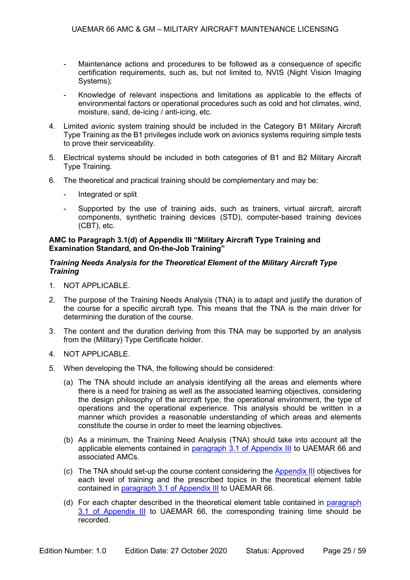- Maintenance actions and procedures to be followed as a consequence of specific certification requirements, such as, but not limited to, NVIS (Night Vision Imaging Systems);
- Knowledge of relevant inspections and limitations as applicable to the effects of environmental factors or operational procedures such as cold and hot climates, wind, moisture, sand, de-icing / anti-icing, etc.
- 4. Limited avionic system training should be included in the Category B1 Military Aircraft Type Training as the B1 privileges include work on avionics systems requiring simple tests to prove their serviceability.
- 5. Electrical systems should be included in both categories of B1 and B2 Military Aircraft Type Training.
- 6. The theoretical and practical training should be complementary and may be:
	- Integrated or split
	- Supported by the use of training aids, such as trainers, virtual aircraft, aircraft components, synthetic training devices (STD), computer-based training devices (CBT), etc.

#### **AMC to Paragraph 3.1(d) of Appendix III "Military Aircraft Type Training and Examination Standard, and On-the-Job Training"**

#### *Training Needs Analysis for the Theoretical Element of the Military Aircraft Type Training*

- 1. NOT APPLICABLE.
- 2. The purpose of the Training Needs Analysis (TNA) is to adapt and justify the duration of the course for a specific aircraft type. This means that the TNA is the main driver for determining the duration of the course.
- 3. The content and the duration deriving from this TNA may be supported by an analysis from the (Military) Type Certificate holder.
- 4. NOT APPLICABLE.
- 5. When developing the TNA, the following should be considered:
	- (a) The TNA should include an analysis identifying all the areas and elements where there is a need for training as well as the associated learning objectives, considering the design philosophy of the aircraft type, the operational environment, the type of operations and the operational experience. This analysis should be written in a manner which provides a reasonable understanding of which areas and elements constitute the course in order to meet the learning objectives.
	- (b) As a minimum, the Training Need Analysis (TNA) should take into account all the applicable elements contained in paragraph 3.1 of Appendix III to UAEMAR 66 and associated AMCs.
	- (c) The TNA should set-up the course content considering the Appendix III objectives for each level of training and the prescribed topics in the theoretical element table contained in paragraph 3.1 of Appendix III to UAEMAR 66.
	- (d) For each chapter described in the theoretical element table contained in paragraph 3.1 of Appendix III to UAEMAR 66, the corresponding training time should be recorded.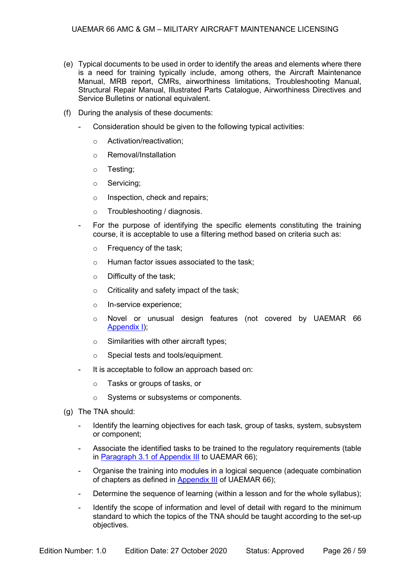- (e) Typical documents to be used in order to identify the areas and elements where there is a need for training typically include, among others, the Aircraft Maintenance Manual, MRB report, CMRs, airworthiness limitations, Troubleshooting Manual, Structural Repair Manual, Illustrated Parts Catalogue, Airworthiness Directives and Service Bulletins or national equivalent.
- (f) During the analysis of these documents:
	- Consideration should be given to the following typical activities:
		- o Activation/reactivation;
		- o Removal/Installation
		- o Testing;
		- o Servicing;
		- o Inspection, check and repairs;
		- o Troubleshooting / diagnosis.
	- For the purpose of identifying the specific elements constituting the training course, it is acceptable to use a filtering method based on criteria such as:
		- o Frequency of the task;
		- o Human factor issues associated to the task;
		- $\circ$  Difficulty of the task;
		- o Criticality and safety impact of the task;
		- o In-service experience;
		- o Novel or unusual design features (not covered by UAEMAR 66 Appendix I);
		- $\circ$  Similarities with other aircraft types;
		- o Special tests and tools/equipment.
	- It is acceptable to follow an approach based on:
		- o Tasks or groups of tasks, or
		- o Systems or subsystems or components.
- (g) The TNA should:
	- Identify the learning objectives for each task, group of tasks, system, subsystem or component;
	- Associate the identified tasks to be trained to the regulatory requirements (table in Paragraph 3.1 of Appendix III to UAEMAR 66);
	- Organise the training into modules in a logical sequence (adequate combination of chapters as defined in Appendix III of UAEMAR 66);
	- Determine the sequence of learning (within a lesson and for the whole syllabus);
	- Identify the scope of information and level of detail with regard to the minimum standard to which the topics of the TNA should be taught according to the set-up objectives.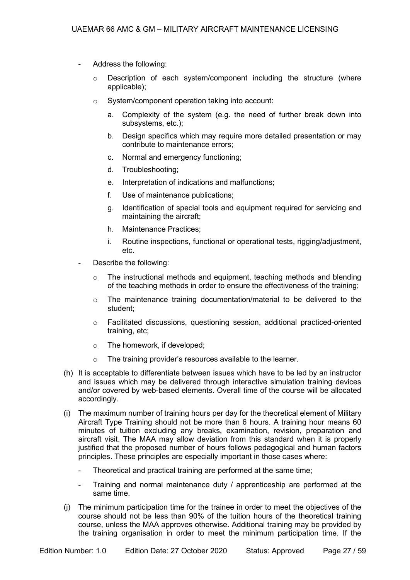- Address the following:
	- $\circ$  Description of each system/component including the structure (where applicable);
	- o System/component operation taking into account:
		- a. Complexity of the system (e.g. the need of further break down into subsystems, etc.);
		- b. Design specifics which may require more detailed presentation or may contribute to maintenance errors;
		- c. Normal and emergency functioning;
		- d. Troubleshooting;
		- e. Interpretation of indications and malfunctions;
		- f. Use of maintenance publications;
		- g. Identification of special tools and equipment required for servicing and maintaining the aircraft;
		- h. Maintenance Practices;
		- i. Routine inspections, functional or operational tests, rigging/adjustment, etc.
- Describe the following:
	- o The instructional methods and equipment, teaching methods and blending of the teaching methods in order to ensure the effectiveness of the training;
	- $\circ$  The maintenance training documentation/material to be delivered to the student;
	- o Facilitated discussions, questioning session, additional practiced-oriented training, etc;
	- o The homework, if developed;
	- o The training provider's resources available to the learner.
- (h) It is acceptable to differentiate between issues which have to be led by an instructor and issues which may be delivered through interactive simulation training devices and/or covered by web-based elements. Overall time of the course will be allocated accordingly.
- (i) The maximum number of training hours per day for the theoretical element of Military Aircraft Type Training should not be more than 6 hours. A training hour means 60 minutes of tuition excluding any breaks, examination, revision, preparation and aircraft visit. The MAA may allow deviation from this standard when it is properly justified that the proposed number of hours follows pedagogical and human factors principles. These principles are especially important in those cases where:
	- Theoretical and practical training are performed at the same time;
	- Training and normal maintenance duty / apprenticeship are performed at the same time.
- (j) The minimum participation time for the trainee in order to meet the objectives of the course should not be less than 90% of the tuition hours of the theoretical training course, unless the MAA approves otherwise. Additional training may be provided by the training organisation in order to meet the minimum participation time. If the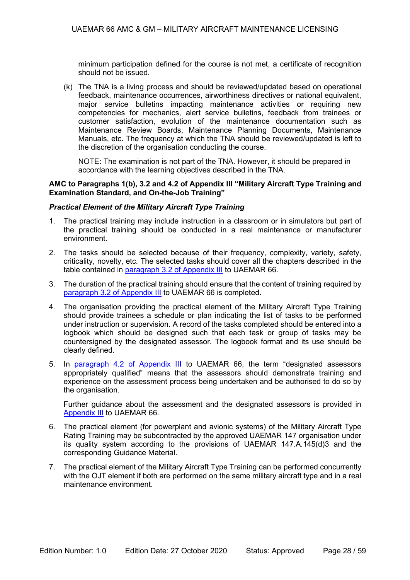minimum participation defined for the course is not met, a certificate of recognition should not be issued.

(k) The TNA is a living process and should be reviewed/updated based on operational feedback, maintenance occurrences, airworthiness directives or national equivalent, major service bulletins impacting maintenance activities or requiring new competencies for mechanics, alert service bulletins, feedback from trainees or customer satisfaction, evolution of the maintenance documentation such as Maintenance Review Boards, Maintenance Planning Documents, Maintenance Manuals, etc. The frequency at which the TNA should be reviewed/updated is left to the discretion of the organisation conducting the course.

NOTE: The examination is not part of the TNA. However, it should be prepared in accordance with the learning objectives described in the TNA.

#### **AMC to Paragraphs 1(b), 3.2 and 4.2 of Appendix III "Military Aircraft Type Training and Examination Standard, and On-the-Job Training"**

#### *Practical Element of the Military Aircraft Type Training*

- 1. The practical training may include instruction in a classroom or in simulators but part of the practical training should be conducted in a real maintenance or manufacturer environment.
- 2. The tasks should be selected because of their frequency, complexity, variety, safety, criticality, novelty, etc. The selected tasks should cover all the chapters described in the table contained in paragraph 3.2 of Appendix III to UAEMAR 66.
- 3. The duration of the practical training should ensure that the content of training required by paragraph 3.2 of Appendix III to UAEMAR 66 is completed.
- 4. The organisation providing the practical element of the Military Aircraft Type Training should provide trainees a schedule or plan indicating the list of tasks to be performed under instruction or supervision. A record of the tasks completed should be entered into a logbook which should be designed such that each task or group of tasks may be countersigned by the designated assessor. The logbook format and its use should be clearly defined.
- 5. In paragraph 4.2 of Appendix III to UAEMAR 66, the term "designated assessors appropriately qualified" means that the assessors should demonstrate training and experience on the assessment process being undertaken and be authorised to do so by the organisation.

Further guidance about the assessment and the designated assessors is provided in Appendix III to UAEMAR 66.

- 6. The practical element (for powerplant and avionic systems) of the Military Aircraft Type Rating Training may be subcontracted by the approved UAEMAR 147 organisation under its quality system according to the provisions of UAEMAR 147.A.145(d)3 and the corresponding Guidance Material.
- 7. The practical element of the Military Aircraft Type Training can be performed concurrently with the OJT element if both are performed on the same military aircraft type and in a real maintenance environment.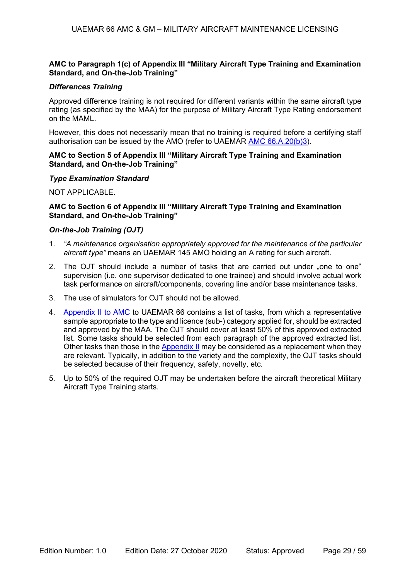#### **AMC to Paragraph 1(c) of Appendix III "Military Aircraft Type Training and Examination Standard, and On-the-Job Training"**

#### *Differences Training*

Approved difference training is not required for different variants within the same aircraft type rating (as specified by the MAA) for the purpose of Military Aircraft Type Rating endorsement on the MAML.

However, this does not necessarily mean that no training is required before a certifying staff authorisation can be issued by the AMO (refer to UAEMAR [AMC 66.A.20\(b\)3\)](#page-10-1).

#### **AMC to Section 5 of Appendix III "Military Aircraft Type Training and Examination Standard, and On-the-Job Training"**

#### *Type Examination Standard*

NOT APPLICABLE.

#### **AMC to Section 6 of Appendix III "Military Aircraft Type Training and Examination Standard, and On-the-Job Training"**

#### *On-the-Job Training (OJT)*

- 1. *"A maintenance organisation appropriately approved for the maintenance of the particular aircraft type"* means an UAEMAR 145 AMO holding an A rating for such aircraft.
- 2. The OJT should include a number of tasks that are carried out under "one to one" supervision (i.e. one supervisor dedicated to one trainee) and should involve actual work task performance on aircraft/components, covering line and/or base maintenance tasks.
- 3. The use of simulators for OJT should not be allowed.
- 4. [Appendix II to AMC](#page-32-0) to UAEMAR 66 contains a list of tasks, from which a representative sample appropriate to the type and licence (sub-) category applied for, should be extracted and approved by the MAA. The OJT should cover at least 50% of this approved extracted list. Some tasks should be selected from each paragraph of the approved extracted list. Other tasks than those in the Appendix II may be considered as a replacement when they are relevant. Typically, in addition to the variety and the complexity, the OJT tasks should be selected because of their frequency, safety, novelty, etc.
- 5. Up to 50% of the required OJT may be undertaken before the aircraft theoretical Military Aircraft Type Training starts.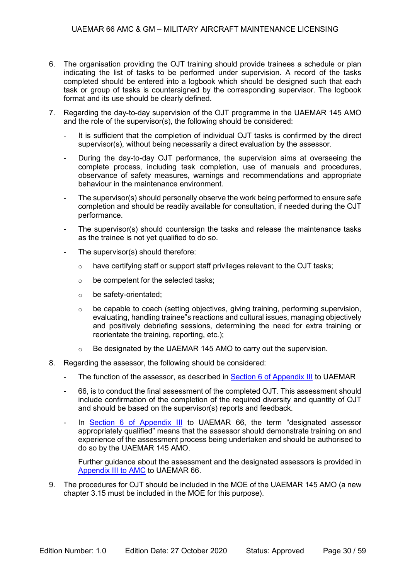- 6. The organisation providing the OJT training should provide trainees a schedule or plan indicating the list of tasks to be performed under supervision. A record of the tasks completed should be entered into a logbook which should be designed such that each task or group of tasks is countersigned by the corresponding supervisor. The logbook format and its use should be clearly defined.
- 7. Regarding the day-to-day supervision of the OJT programme in the UAEMAR 145 AMO and the role of the supervisor(s), the following should be considered:
	- It is sufficient that the completion of individual OJT tasks is confirmed by the direct supervisor(s), without being necessarily a direct evaluation by the assessor.
	- During the day-to-day OJT performance, the supervision aims at overseeing the complete process, including task completion, use of manuals and procedures, observance of safety measures, warnings and recommendations and appropriate behaviour in the maintenance environment.
	- The supervisor(s) should personally observe the work being performed to ensure safe completion and should be readily available for consultation, if needed during the OJT performance.
	- The supervisor(s) should countersign the tasks and release the maintenance tasks as the trainee is not yet qualified to do so.
	- The supervisor(s) should therefore:
		- o have certifying staff or support staff privileges relevant to the OJT tasks;
		- $\circ$  be competent for the selected tasks;
		- o be safety-orientated;
		- $\circ$  be capable to coach (setting objectives, giving training, performing supervision, evaluating, handling trainee"s reactions and cultural issues, managing objectively and positively debriefing sessions, determining the need for extra training or reorientate the training, reporting, etc.);
		- o Be designated by the UAEMAR 145 AMO to carry out the supervision.
- 8. Regarding the assessor, the following should be considered:
	- The function of the assessor, as described in Section 6 of Appendix III to UAEMAR
	- 66, is to conduct the final assessment of the completed OJT. This assessment should include confirmation of the completion of the required diversity and quantity of OJT and should be based on the supervisor(s) reports and feedback.
	- In Section 6 of Appendix III to UAEMAR 66, the term "designated assessor appropriately qualified" means that the assessor should demonstrate training on and experience of the assessment process being undertaken and should be authorised to do so by the UAEMAR 145 AMO.
		- Further guidance about the assessment and the designated assessors is provided in Appendix III to AMC [to UAEMAR](#page-47-0) 66.
- 9. The procedures for OJT should be included in the MOE of the UAEMAR 145 AMO (a new chapter 3.15 must be included in the MOE for this purpose).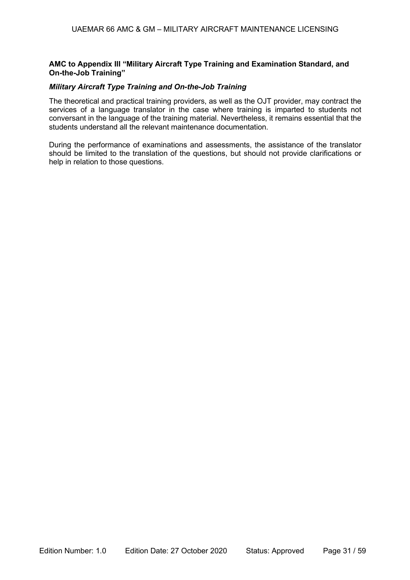#### **AMC to Appendix III "Military Aircraft Type Training and Examination Standard, and On-the-Job Training"**

#### *Military Aircraft Type Training and On-the-Job Training*

The theoretical and practical training providers, as well as the OJT provider, may contract the services of a language translator in the case where training is imparted to students not conversant in the language of the training material. Nevertheless, it remains essential that the students understand all the relevant maintenance documentation.

During the performance of examinations and assessments, the assistance of the translator should be limited to the translation of the questions, but should not provide clarifications or help in relation to those questions.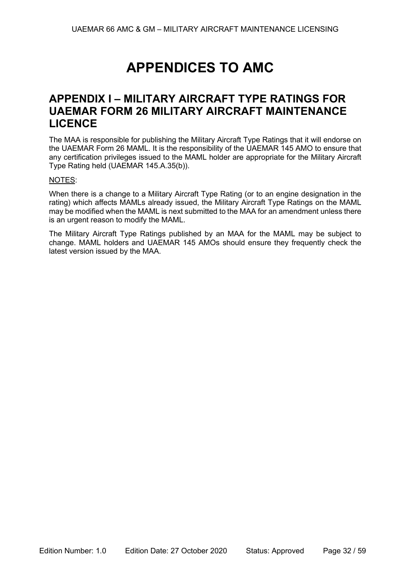# **APPENDICES TO AMC**

# <span id="page-31-1"></span><span id="page-31-0"></span>**APPENDIX I – MILITARY AIRCRAFT TYPE RATINGS FOR UAEMAR FORM 26 MILITARY AIRCRAFT MAINTENANCE LICENCE**

The MAA is responsible for publishing the Military Aircraft Type Ratings that it will endorse on the UAEMAR Form 26 MAML. It is the responsibility of the UAEMAR 145 AMO to ensure that any certification privileges issued to the MAML holder are appropriate for the Military Aircraft Type Rating held (UAEMAR 145.A.35(b)).

#### NOTES:

When there is a change to a Military Aircraft Type Rating (or to an engine designation in the rating) which affects MAMLs already issued, the Military Aircraft Type Ratings on the MAML may be modified when the MAML is next submitted to the MAA for an amendment unless there is an urgent reason to modify the MAML.

The Military Aircraft Type Ratings published by an MAA for the MAML may be subject to change. MAML holders and UAEMAR 145 AMOs should ensure they frequently check the latest version issued by the MAA.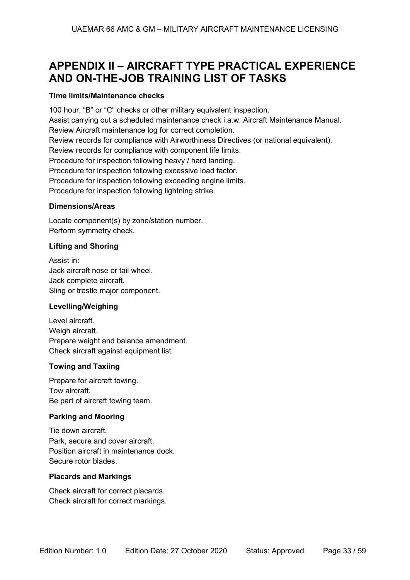# <span id="page-32-0"></span>**APPENDIX II – AIRCRAFT TYPE PRACTICAL EXPERIENCE AND ON-THE-JOB TRAINING LIST OF TASKS**

### **Time limits/Maintenance checks**

100 hour, "B" or "C" checks or other military equivalent inspection. Assist carrying out a scheduled maintenance check i.a.w. Aircraft Maintenance Manual. Review Aircraft maintenance log for correct completion. Review records for compliance with Airworthiness Directives (or national equivalent). Review records for compliance with component life limits. Procedure for inspection following heavy / hard landing. Procedure for inspection following excessive load factor. Procedure for inspection following exceeding engine limits. Procedure for inspection following lightning strike.

#### **Dimensions/Areas**

Locate component(s) by zone/station number. Perform symmetry check.

#### **Lifting and Shoring**

Assist in: Jack aircraft nose or tail wheel. Jack complete aircraft. Sling or trestle major component.

#### **Levelling/Weighing**

Level aircraft. Weigh aircraft. Prepare weight and balance amendment. Check aircraft against equipment list.

#### **Towing and Taxiing**

Prepare for aircraft towing. Tow aircraft. Be part of aircraft towing team.

#### **Parking and Mooring**

Tie down aircraft. Park, secure and cover aircraft. Position aircraft in maintenance dock. Secure rotor blades.

#### **Placards and Markings**

Check aircraft for correct placards. Check aircraft for correct markings.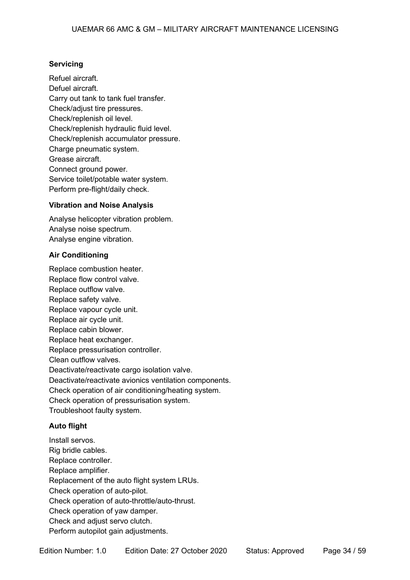### **Servicing**

Refuel aircraft. Defuel aircraft. Carry out tank to tank fuel transfer. Check/adjust tire pressures. Check/replenish oil level. Check/replenish hydraulic fluid level. Check/replenish accumulator pressure. Charge pneumatic system. Grease aircraft. Connect ground power. Service toilet/potable water system. Perform pre-flight/daily check.

#### **Vibration and Noise Analysis**

Analyse helicopter vibration problem. Analyse noise spectrum. Analyse engine vibration.

#### **Air Conditioning**

Replace combustion heater. Replace flow control valve. Replace outflow valve. Replace safety valve. Replace vapour cycle unit. Replace air cycle unit. Replace cabin blower. Replace heat exchanger. Replace pressurisation controller. Clean outflow valves. Deactivate/reactivate cargo isolation valve. Deactivate/reactivate avionics ventilation components. Check operation of air conditioning/heating system. Check operation of pressurisation system. Troubleshoot faulty system.

# **Auto flight**

Install servos. Rig bridle cables. Replace controller. Replace amplifier. Replacement of the auto flight system LRUs. Check operation of auto-pilot. Check operation of auto-throttle/auto-thrust. Check operation of yaw damper. Check and adjust servo clutch. Perform autopilot gain adjustments.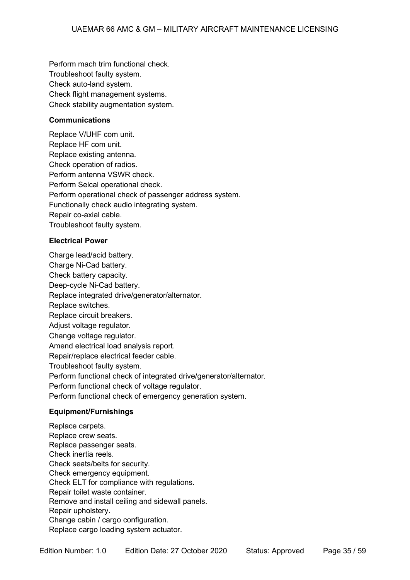Perform mach trim functional check. Troubleshoot faulty system. Check auto-land system. Check flight management systems. Check stability augmentation system.

# **Communications**

Replace V/UHF com unit. Replace HF com unit. Replace existing antenna. Check operation of radios. Perform antenna VSWR check. Perform Selcal operational check. Perform operational check of passenger address system. Functionally check audio integrating system. Repair co-axial cable. Troubleshoot faulty system.

#### **Electrical Power**

Charge lead/acid battery. Charge Ni-Cad battery. Check battery capacity. Deep-cycle Ni-Cad battery. Replace integrated drive/generator/alternator. Replace switches. Replace circuit breakers. Adjust voltage regulator. Change voltage regulator. Amend electrical load analysis report. Repair/replace electrical feeder cable. Troubleshoot faulty system. Perform functional check of integrated drive/generator/alternator. Perform functional check of voltage regulator. Perform functional check of emergency generation system.

#### **Equipment/Furnishings**

Replace carpets. Replace crew seats. Replace passenger seats. Check inertia reels. Check seats/belts for security. Check emergency equipment. Check ELT for compliance with regulations. Repair toilet waste container. Remove and install ceiling and sidewall panels. Repair upholstery. Change cabin / cargo configuration. Replace cargo loading system actuator.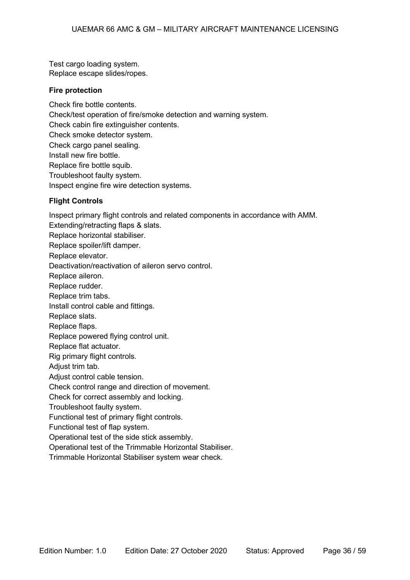Test cargo loading system. Replace escape slides/ropes.

#### **Fire protection**

Check fire bottle contents. Check/test operation of fire/smoke detection and warning system. Check cabin fire extinguisher contents. Check smoke detector system. Check cargo panel sealing. Install new fire bottle. Replace fire bottle squib. Troubleshoot faulty system. Inspect engine fire wire detection systems.

# **Flight Controls**

Inspect primary flight controls and related components in accordance with AMM. Extending/retracting flaps & slats. Replace horizontal stabiliser. Replace spoiler/lift damper. Replace elevator. Deactivation/reactivation of aileron servo control. Replace aileron. Replace rudder. Replace trim tabs. Install control cable and fittings. Replace slats. Replace flaps. Replace powered flying control unit. Replace flat actuator. Rig primary flight controls. Adjust trim tab. Adjust control cable tension. Check control range and direction of movement. Check for correct assembly and locking. Troubleshoot faulty system. Functional test of primary flight controls. Functional test of flap system. Operational test of the side stick assembly. Operational test of the Trimmable Horizontal Stabiliser. Trimmable Horizontal Stabiliser system wear check.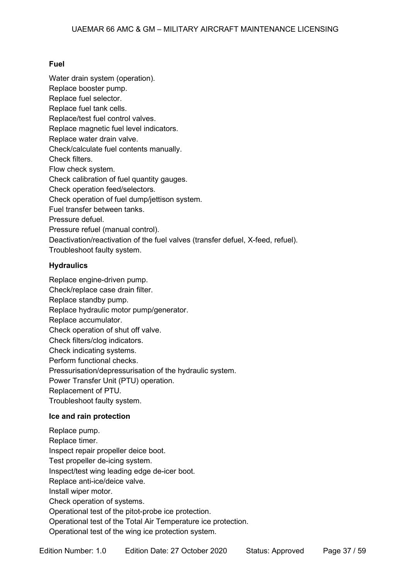# **Fuel**

Water drain system (operation). Replace booster pump. Replace fuel selector. Replace fuel tank cells. Replace/test fuel control valves. Replace magnetic fuel level indicators. Replace water drain valve. Check/calculate fuel contents manually. Check filters. Flow check system. Check calibration of fuel quantity gauges. Check operation feed/selectors. Check operation of fuel dump/jettison system. Fuel transfer between tanks. Pressure defuel. Pressure refuel (manual control). Deactivation/reactivation of the fuel valves (transfer defuel, X-feed, refuel). Troubleshoot faulty system.

# **Hydraulics**

Replace engine-driven pump.

Check/replace case drain filter.

Replace standby pump.

Replace hydraulic motor pump/generator.

Replace accumulator.

Check operation of shut off valve.

Check filters/clog indicators.

Check indicating systems.

Perform functional checks.

Pressurisation/depressurisation of the hydraulic system.

Power Transfer Unit (PTU) operation.

Replacement of PTU.

Troubleshoot faulty system.

#### **Ice and rain protection**

Replace pump. Replace timer. Inspect repair propeller deice boot. Test propeller de-icing system. Inspect/test wing leading edge de-icer boot. Replace anti-ice/deice valve. Install wiper motor. Check operation of systems. Operational test of the pitot-probe ice protection. Operational test of the Total Air Temperature ice protection. Operational test of the wing ice protection system.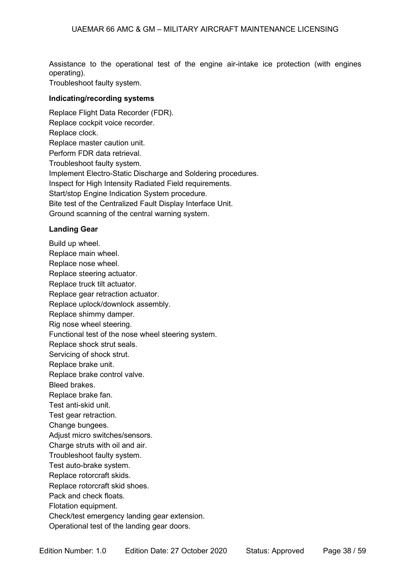Assistance to the operational test of the engine air-intake ice protection (with engines operating).

Troubleshoot faulty system.

#### **Indicating/recording systems**

Replace Flight Data Recorder (FDR). Replace cockpit voice recorder. Replace clock. Replace master caution unit. Perform FDR data retrieval. Troubleshoot faulty system. Implement Electro-Static Discharge and Soldering procedures. Inspect for High Intensity Radiated Field requirements. Start/stop Engine Indication System procedure. Bite test of the Centralized Fault Display Interface Unit. Ground scanning of the central warning system.

#### **Landing Gear**

Build up wheel. Replace main wheel. Replace nose wheel. Replace steering actuator. Replace truck tilt actuator. Replace gear retraction actuator. Replace uplock/downlock assembly. Replace shimmy damper. Rig nose wheel steering. Functional test of the nose wheel steering system. Replace shock strut seals. Servicing of shock strut. Replace brake unit. Replace brake control valve. Bleed brakes. Replace brake fan. Test anti-skid unit. Test gear retraction. Change bungees. Adjust micro switches/sensors. Charge struts with oil and air. Troubleshoot faulty system. Test auto-brake system. Replace rotorcraft skids. Replace rotorcraft skid shoes. Pack and check floats. Flotation equipment. Check/test emergency landing gear extension. Operational test of the landing gear doors.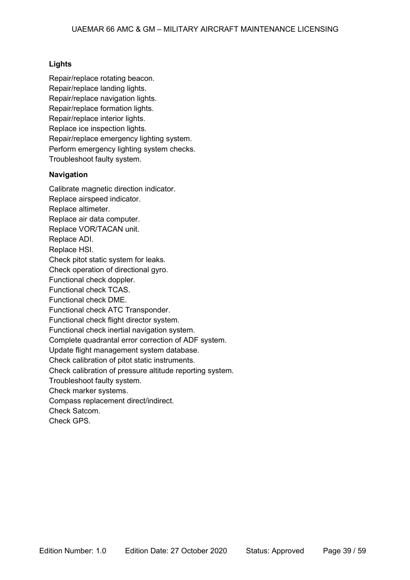# **Lights**

Repair/replace rotating beacon. Repair/replace landing lights. Repair/replace navigation lights. Repair/replace formation lights. Repair/replace interior lights. Replace ice inspection lights. Repair/replace emergency lighting system. Perform emergency lighting system checks. Troubleshoot faulty system.

# **Navigation**

Calibrate magnetic direction indicator. Replace airspeed indicator. Replace altimeter. Replace air data computer. Replace VOR/TACAN unit. Replace ADI. Replace HSI. Check pitot static system for leaks. Check operation of directional gyro. Functional check doppler. Functional check TCAS. Functional check DME. Functional check ATC Transponder. Functional check flight director system. Functional check inertial navigation system. Complete quadrantal error correction of ADF system. Update flight management system database. Check calibration of pitot static instruments. Check calibration of pressure altitude reporting system. Troubleshoot faulty system. Check marker systems. Compass replacement direct/indirect. Check Satcom.

Check GPS.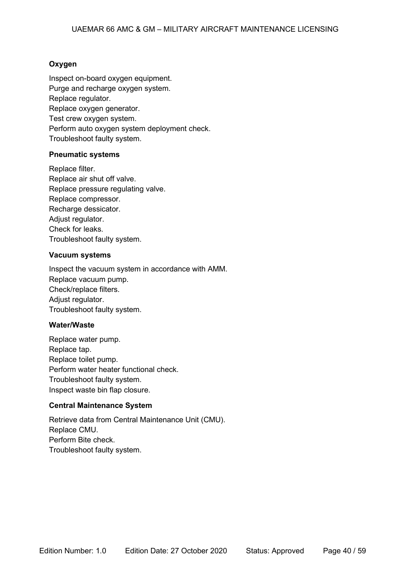# **Oxygen**

Inspect on-board oxygen equipment. Purge and recharge oxygen system. Replace regulator. Replace oxygen generator. Test crew oxygen system. Perform auto oxygen system deployment check. Troubleshoot faulty system.

#### **Pneumatic systems**

Replace filter. Replace air shut off valve. Replace pressure regulating valve. Replace compressor. Recharge dessicator. Adjust regulator. Check for leaks. Troubleshoot faulty system.

#### **Vacuum systems**

Inspect the vacuum system in accordance with AMM. Replace vacuum pump. Check/replace filters. Adjust regulator. Troubleshoot faulty system.

#### **Water/Waste**

Replace water pump. Replace tap. Replace toilet pump. Perform water heater functional check. Troubleshoot faulty system. Inspect waste bin flap closure.

#### **Central Maintenance System**

Retrieve data from Central Maintenance Unit (CMU). Replace CMU. Perform Bite check. Troubleshoot faulty system.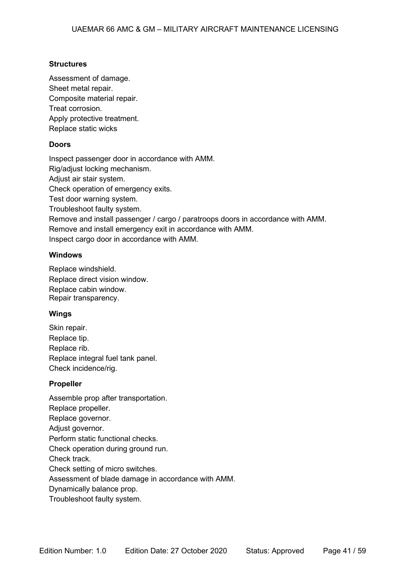#### **Structures**

Assessment of damage. Sheet metal repair. Composite material repair. Treat corrosion. Apply protective treatment. Replace static wicks

# **Doors**

Inspect passenger door in accordance with AMM. Rig/adjust locking mechanism. Adjust air stair system. Check operation of emergency exits. Test door warning system. Troubleshoot faulty system. Remove and install passenger / cargo / paratroops doors in accordance with AMM. Remove and install emergency exit in accordance with AMM. Inspect cargo door in accordance with AMM.

#### **Windows**

Replace windshield. Replace direct vision window. Replace cabin window. Repair transparency.

#### **Wings**

Skin repair. Replace tip. Replace rib. Replace integral fuel tank panel. Check incidence/rig.

# **Propeller**

Assemble prop after transportation. Replace propeller. Replace governor. Adjust governor. Perform static functional checks. Check operation during ground run. Check track. Check setting of micro switches. Assessment of blade damage in accordance with AMM. Dynamically balance prop. Troubleshoot faulty system.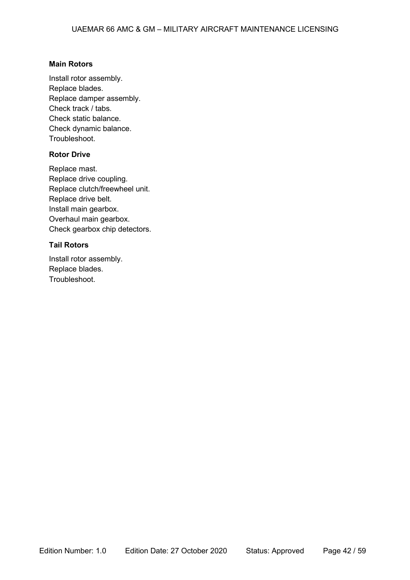#### **Main Rotors**

Install rotor assembly. Replace blades. Replace damper assembly. Check track / tabs. Check static balance. Check dynamic balance. Troubleshoot.

#### **Rotor Drive**

Replace mast. Replace drive coupling. Replace clutch/freewheel unit. Replace drive belt. Install main gearbox. Overhaul main gearbox. Check gearbox chip detectors.

#### **Tail Rotors**

Install rotor assembly. Replace blades. Troubleshoot.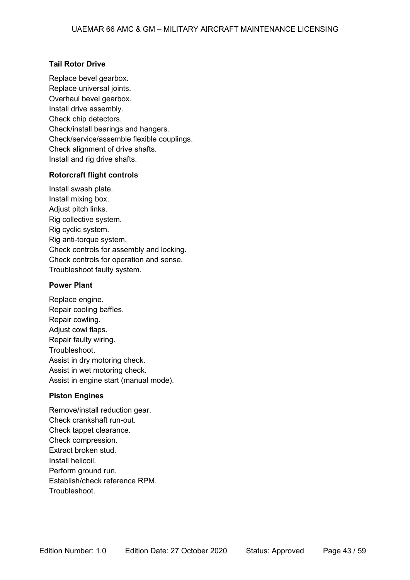## **Tail Rotor Drive**

Replace bevel gearbox. Replace universal joints. Overhaul bevel gearbox. Install drive assembly. Check chip detectors. Check/install bearings and hangers. Check/service/assemble flexible couplings. Check alignment of drive shafts. Install and rig drive shafts.

# **Rotorcraft flight controls**

Install swash plate. Install mixing box. Adjust pitch links. Rig collective system. Rig cyclic system. Rig anti-torque system. Check controls for assembly and locking. Check controls for operation and sense. Troubleshoot faulty system.

#### **Power Plant**

Replace engine. Repair cooling baffles. Repair cowling. Adjust cowl flaps. Repair faulty wiring. Troubleshoot. Assist in dry motoring check. Assist in wet motoring check. Assist in engine start (manual mode).

#### **Piston Engines**

Remove/install reduction gear. Check crankshaft run-out. Check tappet clearance. Check compression. Extract broken stud. Install helicoil. Perform ground run. Establish/check reference RPM. Troubleshoot.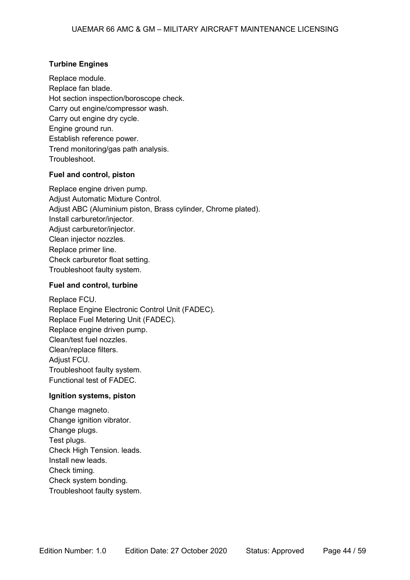# **Turbine Engines**

Replace module. Replace fan blade. Hot section inspection/boroscope check. Carry out engine/compressor wash. Carry out engine dry cycle. Engine ground run. Establish reference power. Trend monitoring/gas path analysis. Troubleshoot.

# **Fuel and control, piston**

Replace engine driven pump. Adjust Automatic Mixture Control. Adjust ABC (Aluminium piston, Brass cylinder, Chrome plated). Install carburetor/injector. Adjust carburetor/injector. Clean injector nozzles. Replace primer line. Check carburetor float setting. Troubleshoot faulty system.

# **Fuel and control, turbine**

Replace FCU. Replace Engine Electronic Control Unit (FADEC). Replace Fuel Metering Unit (FADEC). Replace engine driven pump. Clean/test fuel nozzles. Clean/replace filters. Adjust FCU. Troubleshoot faulty system. Functional test of FADEC.

#### **Ignition systems, piston**

Change magneto. Change ignition vibrator. Change plugs. Test plugs. Check High Tension. leads. Install new leads. Check timing. Check system bonding. Troubleshoot faulty system.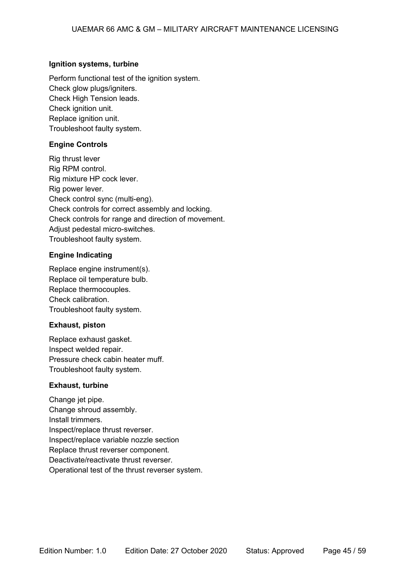#### **Ignition systems, turbine**

Perform functional test of the ignition system. Check glow plugs/igniters. Check High Tension leads. Check ignition unit. Replace ignition unit. Troubleshoot faulty system.

#### **Engine Controls**

Rig thrust lever Rig RPM control. Rig mixture HP cock lever. Rig power lever. Check control sync (multi-eng). Check controls for correct assembly and locking. Check controls for range and direction of movement. Adjust pedestal micro-switches. Troubleshoot faulty system.

#### **Engine Indicating**

Replace engine instrument(s). Replace oil temperature bulb. Replace thermocouples. Check calibration. Troubleshoot faulty system.

#### **Exhaust, piston**

Replace exhaust gasket. Inspect welded repair. Pressure check cabin heater muff. Troubleshoot faulty system.

#### **Exhaust, turbine**

Change jet pipe. Change shroud assembly. Install trimmers. Inspect/replace thrust reverser. Inspect/replace variable nozzle section Replace thrust reverser component. Deactivate/reactivate thrust reverser. Operational test of the thrust reverser system.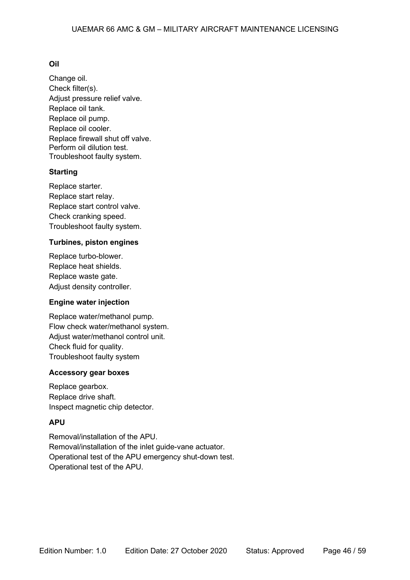# **Oil**

Change oil. Check filter(s). Adjust pressure relief valve. Replace oil tank. Replace oil pump. Replace oil cooler. Replace firewall shut off valve. Perform oil dilution test. Troubleshoot faulty system.

# **Starting**

Replace starter. Replace start relay. Replace start control valve. Check cranking speed. Troubleshoot faulty system.

#### **Turbines, piston engines**

Replace turbo-blower. Replace heat shields. Replace waste gate. Adjust density controller.

#### **Engine water injection**

Replace water/methanol pump. Flow check water/methanol system. Adjust water/methanol control unit. Check fluid for quality. Troubleshoot faulty system

#### **Accessory gear boxes**

Replace gearbox. Replace drive shaft. Inspect magnetic chip detector.

# **APU**

Removal/installation of the APU. Removal/installation of the inlet guide-vane actuator. Operational test of the APU emergency shut-down test. Operational test of the APU.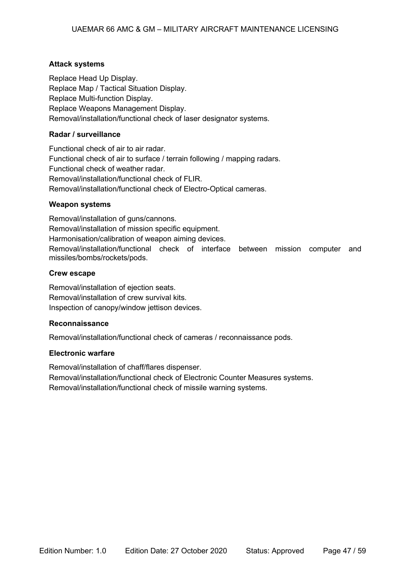#### **Attack systems**

Replace Head Up Display. Replace Map / Tactical Situation Display. Replace Multi-function Display. Replace Weapons Management Display. Removal/installation/functional check of laser designator systems.

#### **Radar / surveillance**

Functional check of air to air radar. Functional check of air to surface / terrain following / mapping radars. Functional check of weather radar. Removal/installation/functional check of FLIR. Removal/installation/functional check of Electro-Optical cameras.

#### **Weapon systems**

Removal/installation of guns/cannons. Removal/installation of mission specific equipment. Harmonisation/calibration of weapon aiming devices. Removal/installation/functional check of interface between mission computer and missiles/bombs/rockets/pods.

#### **Crew escape**

Removal/installation of ejection seats. Removal/installation of crew survival kits. Inspection of canopy/window jettison devices.

#### **Reconnaissance**

Removal/installation/functional check of cameras / reconnaissance pods.

#### **Electronic warfare**

Removal/installation of chaff/flares dispenser. Removal/installation/functional check of Electronic Counter Measures systems. Removal/installation/functional check of missile warning systems.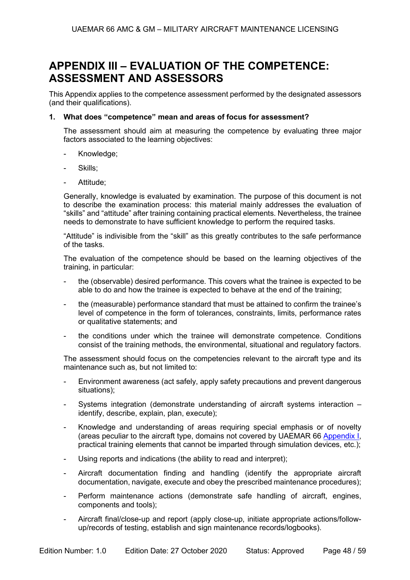# <span id="page-47-0"></span>**APPENDIX III – EVALUATION OF THE COMPETENCE: ASSESSMENT AND ASSESSORS**

This Appendix applies to the competence assessment performed by the designated assessors (and their qualifications).

#### **1. What does "competence" mean and areas of focus for assessment?**

The assessment should aim at measuring the competence by evaluating three major factors associated to the learning objectives:

- Knowledge;
- Skills:
- Attitude:

Generally, knowledge is evaluated by examination. The purpose of this document is not to describe the examination process: this material mainly addresses the evaluation of "skills" and "attitude" after training containing practical elements. Nevertheless, the trainee needs to demonstrate to have sufficient knowledge to perform the required tasks.

"Attitude" is indivisible from the "skill" as this greatly contributes to the safe performance of the tasks.

The evaluation of the competence should be based on the learning objectives of the training, in particular:

- the (observable) desired performance. This covers what the trainee is expected to be able to do and how the trainee is expected to behave at the end of the training;
- the (measurable) performance standard that must be attained to confirm the trainee's level of competence in the form of tolerances, constraints, limits, performance rates or qualitative statements; and
- the conditions under which the trainee will demonstrate competence. Conditions consist of the training methods, the environmental, situational and regulatory factors.

The assessment should focus on the competencies relevant to the aircraft type and its maintenance such as, but not limited to:

- Environment awareness (act safely, apply safety precautions and prevent dangerous situations);
- Systems integration (demonstrate understanding of aircraft systems interaction  $$ identify, describe, explain, plan, execute);
- Knowledge and understanding of areas requiring special emphasis or of novelty (areas peculiar to the aircraft type, domains not covered by UAEMAR 66 Appendix I, practical training elements that cannot be imparted through simulation devices, etc.);
- Using reports and indications (the ability to read and interpret);
- Aircraft documentation finding and handling (identify the appropriate aircraft documentation, navigate, execute and obey the prescribed maintenance procedures);
- Perform maintenance actions (demonstrate safe handling of aircraft, engines, components and tools);
- Aircraft final/close-up and report (apply close-up, initiate appropriate actions/followup/records of testing, establish and sign maintenance records/logbooks).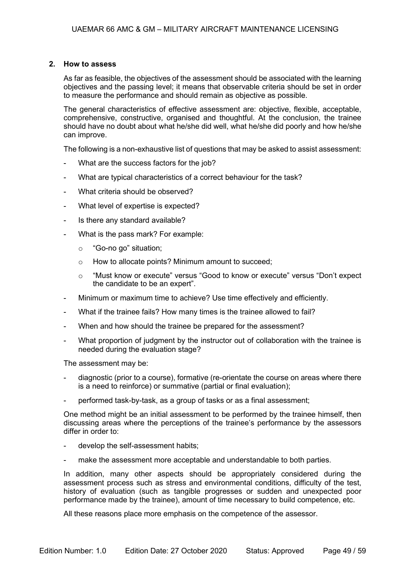#### **2. How to assess**

As far as feasible, the objectives of the assessment should be associated with the learning objectives and the passing level; it means that observable criteria should be set in order to measure the performance and should remain as objective as possible.

The general characteristics of effective assessment are: objective, flexible, acceptable, comprehensive, constructive, organised and thoughtful. At the conclusion, the trainee should have no doubt about what he/she did well, what he/she did poorly and how he/she can improve.

The following is a non-exhaustive list of questions that may be asked to assist assessment:

- What are the success factors for the job?
- What are typical characteristics of a correct behaviour for the task?
- What criteria should be observed?
- What level of expertise is expected?
- Is there any standard available?
- What is the pass mark? For example:
	- o "Go-no go" situation;
	- o How to allocate points? Minimum amount to succeed;
	- o "Must know or execute" versus "Good to know or execute" versus "Don't expect the candidate to be an expert".
- Minimum or maximum time to achieve? Use time effectively and efficiently.
- What if the trainee fails? How many times is the trainee allowed to fail?
- When and how should the trainee be prepared for the assessment?
- What proportion of judgment by the instructor out of collaboration with the trainee is needed during the evaluation stage?

The assessment may be:

- diagnostic (prior to a course), formative (re-orientate the course on areas where there is a need to reinforce) or summative (partial or final evaluation);
- performed task-by-task, as a group of tasks or as a final assessment;

One method might be an initial assessment to be performed by the trainee himself, then discussing areas where the perceptions of the trainee's performance by the assessors differ in order to:

- develop the self-assessment habits;
- make the assessment more acceptable and understandable to both parties.

In addition, many other aspects should be appropriately considered during the assessment process such as stress and environmental conditions, difficulty of the test, history of evaluation (such as tangible progresses or sudden and unexpected poor performance made by the trainee), amount of time necessary to build competence, etc.

All these reasons place more emphasis on the competence of the assessor.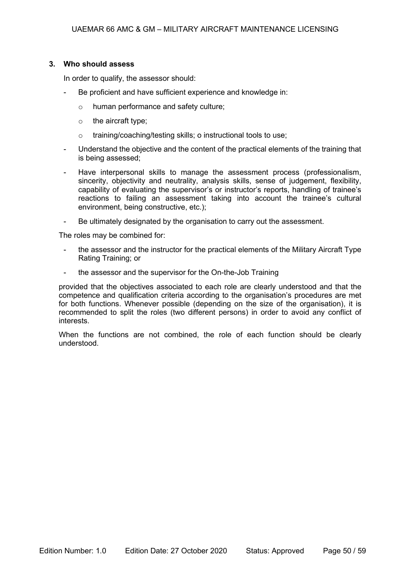#### **3. Who should assess**

In order to qualify, the assessor should:

- Be proficient and have sufficient experience and knowledge in:
	- o human performance and safety culture;
	- $\circ$  the aircraft type;
	- o training/coaching/testing skills; o instructional tools to use;
- Understand the objective and the content of the practical elements of the training that is being assessed;
- Have interpersonal skills to manage the assessment process (professionalism, sincerity, objectivity and neutrality, analysis skills, sense of judgement, flexibility, capability of evaluating the supervisor's or instructor's reports, handling of trainee's reactions to failing an assessment taking into account the trainee's cultural environment, being constructive, etc.);
- Be ultimately designated by the organisation to carry out the assessment.

The roles may be combined for:

- the assessor and the instructor for the practical elements of the Military Aircraft Type Rating Training; or
- the assessor and the supervisor for the On-the-Job Training

provided that the objectives associated to each role are clearly understood and that the competence and qualification criteria according to the organisation's procedures are met for both functions. Whenever possible (depending on the size of the organisation), it is recommended to split the roles (two different persons) in order to avoid any conflict of interests.

When the functions are not combined, the role of each function should be clearly understood.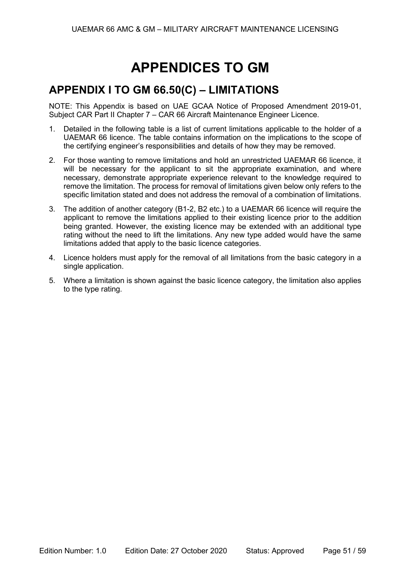# **APPENDICES TO GM**

# <span id="page-50-1"></span><span id="page-50-0"></span>**APPENDIX I TO GM 66.50(C) – LIMITATIONS**

NOTE: This Appendix is based on UAE GCAA Notice of Proposed Amendment 2019-01, Subject CAR Part II Chapter 7 – CAR 66 Aircraft Maintenance Engineer Licence.

- 1. Detailed in the following table is a list of current limitations applicable to the holder of a UAEMAR 66 licence. The table contains information on the implications to the scope of the certifying engineer's responsibilities and details of how they may be removed.
- 2. For those wanting to remove limitations and hold an unrestricted UAEMAR 66 licence, it will be necessary for the applicant to sit the appropriate examination, and where necessary, demonstrate appropriate experience relevant to the knowledge required to remove the limitation. The process for removal of limitations given below only refers to the specific limitation stated and does not address the removal of a combination of limitations.
- 3. The addition of another category (B1-2, B2 etc.) to a UAEMAR 66 licence will require the applicant to remove the limitations applied to their existing licence prior to the addition being granted. However, the existing licence may be extended with an additional type rating without the need to lift the limitations. Any new type added would have the same limitations added that apply to the basic licence categories.
- 4. Licence holders must apply for the removal of all limitations from the basic category in a single application.
- 5. Where a limitation is shown against the basic licence category, the limitation also applies to the type rating.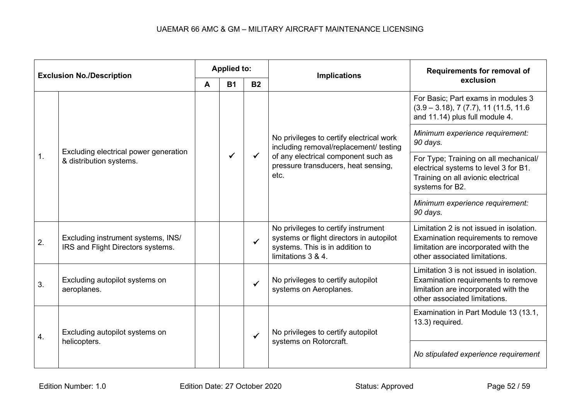| <b>Exclusion No./Description</b> |                                                                         | <b>Applied to:</b> |           |              | <b>Implications</b>                                                                                                                                                      | Requirements for removal of                                                                                                                             |
|----------------------------------|-------------------------------------------------------------------------|--------------------|-----------|--------------|--------------------------------------------------------------------------------------------------------------------------------------------------------------------------|---------------------------------------------------------------------------------------------------------------------------------------------------------|
|                                  |                                                                         |                    | <b>B1</b> | <b>B2</b>    |                                                                                                                                                                          | exclusion                                                                                                                                               |
|                                  |                                                                         |                    |           |              |                                                                                                                                                                          | For Basic; Part exams in modules 3<br>$(3.9 - 3.18), 7 (7.7), 11 (11.5, 11.6)$<br>and 11.14) plus full module 4.                                        |
|                                  |                                                                         |                    |           |              | No privileges to certify electrical work<br>including removal/replacement/ testing<br>of any electrical component such as<br>pressure transducers, heat sensing,<br>etc. | Minimum experience requirement:<br>90 days.                                                                                                             |
| 1.                               | Excluding electrical power generation<br>& distribution systems.        |                    |           | ✓            |                                                                                                                                                                          | For Type; Training on all mechanical/<br>electrical systems to level 3 for B1.<br>Training on all avionic electrical<br>systems for B2.                 |
|                                  |                                                                         |                    |           |              |                                                                                                                                                                          | Minimum experience requirement:<br>90 days.                                                                                                             |
| 2.                               | Excluding instrument systems, INS/<br>IRS and Flight Directors systems. |                    |           | $\checkmark$ | No privileges to certify instrument<br>systems or flight directors in autopilot<br>systems. This is in addition to<br>limitations 3 & 4.                                 | Limitation 2 is not issued in isolation.<br>Examination requirements to remove<br>limitation are incorporated with the<br>other associated limitations. |
| 3.                               | Excluding autopilot systems on<br>aeroplanes.                           |                    |           | $\checkmark$ | No privileges to certify autopilot<br>systems on Aeroplanes.                                                                                                             | Limitation 3 is not issued in isolation.<br>Examination requirements to remove<br>limitation are incorporated with the<br>other associated limitations. |
| 4.                               | Excluding autopilot systems on<br>helicopters.                          |                    |           | $\checkmark$ | No privileges to certify autopilot<br>systems on Rotorcraft.                                                                                                             | Examination in Part Module 13 (13.1,<br>13.3) required.                                                                                                 |
|                                  |                                                                         |                    |           |              |                                                                                                                                                                          | No stipulated experience requirement                                                                                                                    |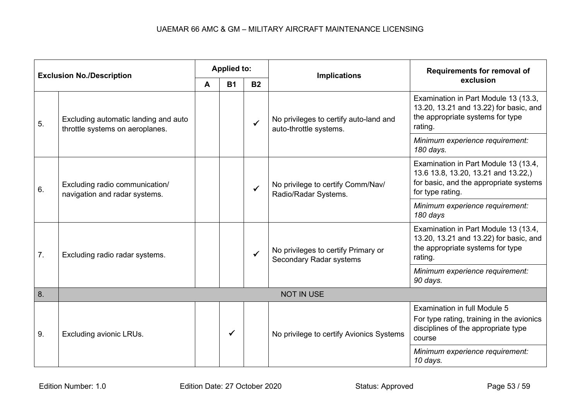| <b>Exclusion No./Description</b> |                                                                         | <b>Applied to:</b> |              |              | <b>Implications</b>                                              | <b>Requirements for removal of</b>                                                                                                        |
|----------------------------------|-------------------------------------------------------------------------|--------------------|--------------|--------------|------------------------------------------------------------------|-------------------------------------------------------------------------------------------------------------------------------------------|
|                                  |                                                                         | А                  | <b>B1</b>    | <b>B2</b>    |                                                                  | exclusion                                                                                                                                 |
| 5.                               | Excluding automatic landing and auto<br>throttle systems on aeroplanes. |                    | $\checkmark$ |              | No privileges to certify auto-land and<br>auto-throttle systems. | Examination in Part Module 13 (13.3,<br>13.20, 13.21 and 13.22) for basic, and<br>the appropriate systems for type<br>rating.             |
|                                  |                                                                         |                    |              |              |                                                                  | Minimum experience requirement:<br>180 days.                                                                                              |
| 6.                               | Excluding radio communication/<br>navigation and radar systems.         |                    |              | $\checkmark$ | No privilege to certify Comm/Nav/<br>Radio/Radar Systems.        | Examination in Part Module 13 (13.4,<br>13.6 13.8, 13.20, 13.21 and 13.22,)<br>for basic, and the appropriate systems<br>for type rating. |
|                                  |                                                                         |                    |              |              |                                                                  | Minimum experience requirement:<br>180 days                                                                                               |
| 7.                               | Excluding radio radar systems.                                          |                    |              | $\checkmark$ | No privileges to certify Primary or<br>Secondary Radar systems   | Examination in Part Module 13 (13.4,<br>13.20, 13.21 and 13.22) for basic, and<br>the appropriate systems for type<br>rating.             |
|                                  |                                                                         |                    |              |              |                                                                  | Minimum experience requirement:<br>90 days.                                                                                               |
| 8.                               |                                                                         |                    |              |              | <b>NOT IN USE</b>                                                |                                                                                                                                           |
|                                  |                                                                         |                    |              |              |                                                                  | <b>Examination in full Module 5</b>                                                                                                       |
| 9.                               | Excluding avionic LRUs.                                                 |                    |              |              | No privilege to certify Avionics Systems                         | For type rating, training in the avionics<br>disciplines of the appropriate type<br>course                                                |
|                                  |                                                                         |                    |              |              |                                                                  | Minimum experience requirement:<br>10 days.                                                                                               |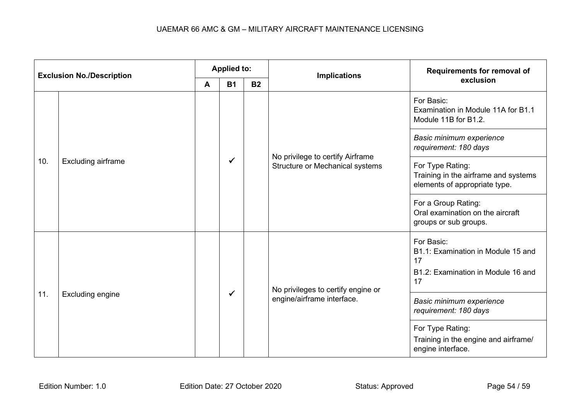| <b>Exclusion No./Description</b> |                           | <b>Applied to:</b> |           |           | <b>Implications</b>                                                 | Requirements for removal of                                                                        |
|----------------------------------|---------------------------|--------------------|-----------|-----------|---------------------------------------------------------------------|----------------------------------------------------------------------------------------------------|
|                                  |                           | A                  | <b>B1</b> | <b>B2</b> |                                                                     | exclusion                                                                                          |
|                                  |                           |                    |           |           |                                                                     | For Basic:<br>Examination in Module 11A for B1.1<br>Module 11B for B1.2.                           |
|                                  |                           |                    |           |           |                                                                     | Basic minimum experience<br>requirement: 180 days                                                  |
| 10.                              | <b>Excluding airframe</b> |                    | ✔         |           | No privilege to certify Airframe<br>Structure or Mechanical systems | For Type Rating:<br>Training in the airframe and systems<br>elements of appropriate type.          |
|                                  |                           |                    |           |           |                                                                     | For a Group Rating:<br>Oral examination on the aircraft<br>groups or sub groups.                   |
|                                  | <b>Excluding engine</b>   |                    |           |           | No privileges to certify engine or<br>engine/airframe interface.    | For Basic:<br>B1.1: Examination in Module 15 and<br>17<br>B1.2: Examination in Module 16 and<br>17 |
| 11.                              |                           |                    |           |           |                                                                     | Basic minimum experience<br>requirement: 180 days                                                  |
|                                  |                           |                    |           |           |                                                                     | For Type Rating:<br>Training in the engine and airframe/<br>engine interface.                      |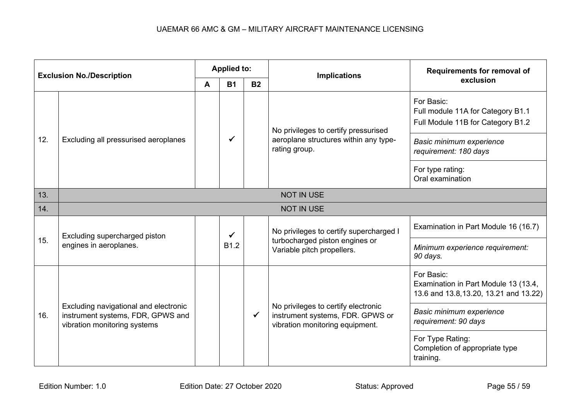| <b>Exclusion No./Description</b> |                                                                                                            | <b>Applied to:</b> |                       |              | <b>Implications</b>                                                                                        | Requirements for removal of                                                                  |  |  |
|----------------------------------|------------------------------------------------------------------------------------------------------------|--------------------|-----------------------|--------------|------------------------------------------------------------------------------------------------------------|----------------------------------------------------------------------------------------------|--|--|
|                                  |                                                                                                            | A                  | <b>B1</b>             | <b>B2</b>    |                                                                                                            | exclusion                                                                                    |  |  |
|                                  |                                                                                                            |                    |                       |              | No privileges to certify pressurised<br>aeroplane structures within any type-<br>rating group.             | For Basic:<br>Full module 11A for Category B1.1<br>Full Module 11B for Category B1.2         |  |  |
| 12.                              | Excluding all pressurised aeroplanes                                                                       |                    | ✔                     |              |                                                                                                            | Basic minimum experience<br>requirement: 180 days                                            |  |  |
|                                  |                                                                                                            |                    |                       |              |                                                                                                            | For type rating:<br>Oral examination                                                         |  |  |
| 13.                              | <b>NOT IN USE</b>                                                                                          |                    |                       |              |                                                                                                            |                                                                                              |  |  |
| 14.                              |                                                                                                            |                    |                       |              | <b>NOT IN USE</b>                                                                                          |                                                                                              |  |  |
|                                  | Excluding supercharged piston<br>engines in aeroplanes.                                                    |                    | ✓<br>B <sub>1.2</sub> |              | No privileges to certify supercharged I<br>turbocharged piston engines or<br>Variable pitch propellers.    | Examination in Part Module 16 (16.7)                                                         |  |  |
| 15.                              |                                                                                                            |                    |                       |              |                                                                                                            | Minimum experience requirement:<br>90 days.                                                  |  |  |
|                                  | Excluding navigational and electronic<br>instrument systems, FDR, GPWS and<br>vibration monitoring systems |                    |                       |              | No privileges to certify electronic<br>instrument systems, FDR. GPWS or<br>vibration monitoring equipment. | For Basic:<br>Examination in Part Module 13 (13.4,<br>13.6 and 13.8, 13.20, 13.21 and 13.22) |  |  |
| 16.                              |                                                                                                            |                    |                       | $\checkmark$ |                                                                                                            | Basic minimum experience<br>requirement: 90 days                                             |  |  |
|                                  |                                                                                                            |                    |                       |              |                                                                                                            | For Type Rating:<br>Completion of appropriate type<br>training.                              |  |  |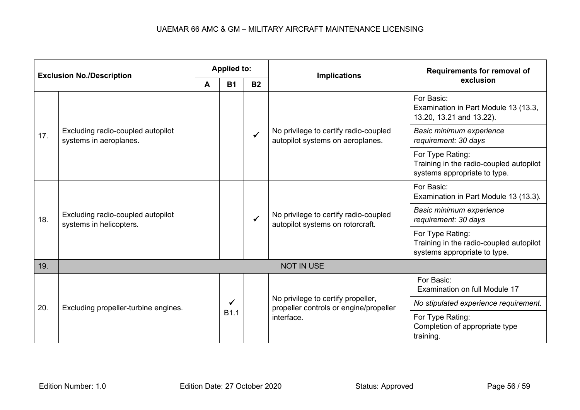| <b>Exclusion No./Description</b> |                                                              | <b>Applied to:</b> |             |              | <b>Implications</b>                                                                        | Requirements for removal of                                                                 |
|----------------------------------|--------------------------------------------------------------|--------------------|-------------|--------------|--------------------------------------------------------------------------------------------|---------------------------------------------------------------------------------------------|
|                                  |                                                              | A                  | <b>B1</b>   | <b>B2</b>    |                                                                                            | exclusion                                                                                   |
|                                  |                                                              |                    |             |              |                                                                                            | For Basic:<br>Examination in Part Module 13 (13.3,<br>13.20, 13.21 and 13.22).              |
| 17.                              | Excluding radio-coupled autopilot<br>systems in aeroplanes.  |                    |             | $\checkmark$ | No privilege to certify radio-coupled<br>autopilot systems on aeroplanes.                  | Basic minimum experience<br>requirement: 30 days                                            |
|                                  |                                                              |                    |             |              |                                                                                            | For Type Rating:<br>Training in the radio-coupled autopilot<br>systems appropriate to type. |
|                                  | Excluding radio-coupled autopilot<br>systems in helicopters. |                    |             | $\checkmark$ | No privilege to certify radio-coupled<br>autopilot systems on rotorcraft.                  | For Basic:<br>Examination in Part Module 13 (13.3).                                         |
| 18.                              |                                                              |                    |             |              |                                                                                            | Basic minimum experience<br>requirement: 30 days                                            |
|                                  |                                                              |                    |             |              |                                                                                            | For Type Rating:<br>Training in the radio-coupled autopilot<br>systems appropriate to type. |
| 19.                              |                                                              |                    |             |              | <b>NOT IN USE</b>                                                                          |                                                                                             |
|                                  |                                                              |                    |             |              | No privilege to certify propeller,<br>propeller controls or engine/propeller<br>interface. | For Basic:<br>Examination on full Module 17                                                 |
| 20.                              | Excluding propeller-turbine engines.                         |                    |             |              |                                                                                            | No stipulated experience requirement.                                                       |
|                                  |                                                              |                    | <b>B1.1</b> |              |                                                                                            | For Type Rating:<br>Completion of appropriate type<br>training.                             |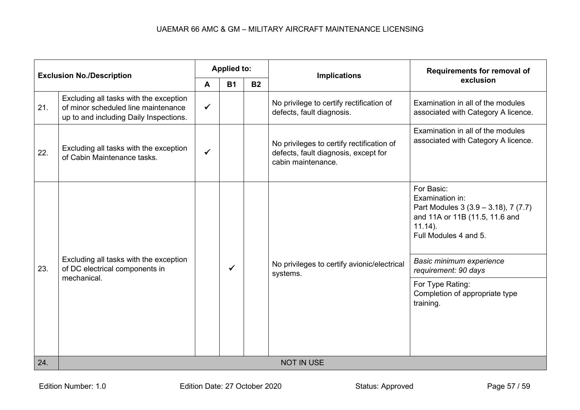| <b>Exclusion No./Description</b> |                                                                                                                         | <b>Applied to:</b> |           |           | <b>Implications</b>                                                                                     | Requirements for removal of                                                                                                                    |  |  |  |  |
|----------------------------------|-------------------------------------------------------------------------------------------------------------------------|--------------------|-----------|-----------|---------------------------------------------------------------------------------------------------------|------------------------------------------------------------------------------------------------------------------------------------------------|--|--|--|--|
|                                  |                                                                                                                         |                    | <b>B1</b> | <b>B2</b> |                                                                                                         | exclusion                                                                                                                                      |  |  |  |  |
| 21.                              | Excluding all tasks with the exception<br>of minor scheduled line maintenance<br>up to and including Daily Inspections. | $\checkmark$       |           |           | No privilege to certify rectification of<br>defects, fault diagnosis.                                   | Examination in all of the modules<br>associated with Category A licence.                                                                       |  |  |  |  |
| 22.                              | Excluding all tasks with the exception<br>of Cabin Maintenance tasks.                                                   | ✓                  |           |           | No privileges to certify rectification of<br>defects, fault diagnosis, except for<br>cabin maintenance. | Examination in all of the modules<br>associated with Category A licence.                                                                       |  |  |  |  |
|                                  | Excluding all tasks with the exception<br>of DC electrical components in<br>mechanical.                                 |                    |           |           |                                                                                                         | For Basic:<br>Examination in:<br>Part Modules 3 (3.9 – 3.18), 7 (7.7)<br>and 11A or 11B (11.5, 11.6 and<br>$11.14$ ).<br>Full Modules 4 and 5. |  |  |  |  |
| 23.                              |                                                                                                                         |                    |           |           | No privileges to certify avionic/electrical<br>systems.                                                 | Basic minimum experience<br>requirement: 90 days                                                                                               |  |  |  |  |
|                                  |                                                                                                                         |                    |           |           |                                                                                                         | For Type Rating:<br>Completion of appropriate type<br>training.                                                                                |  |  |  |  |
| 24.                              | <b>NOT IN USE</b>                                                                                                       |                    |           |           |                                                                                                         |                                                                                                                                                |  |  |  |  |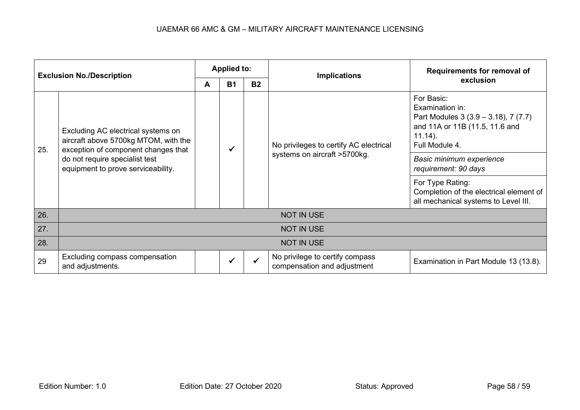| <b>Exclusion No./Description</b> |                                                                                                                                                                                           | <b>Applied to:</b> |              |              | <b>Implications</b>                                                    | Requirements for removal of                                                                                                             |  |  |
|----------------------------------|-------------------------------------------------------------------------------------------------------------------------------------------------------------------------------------------|--------------------|--------------|--------------|------------------------------------------------------------------------|-----------------------------------------------------------------------------------------------------------------------------------------|--|--|
|                                  |                                                                                                                                                                                           | A                  | <b>B1</b>    | <b>B2</b>    |                                                                        | exclusion                                                                                                                               |  |  |
| 25.                              | Excluding AC electrical systems on<br>aircraft above 5700kg MTOM, with the<br>exception of component changes that<br>do not require specialist test<br>equipment to prove serviceability. |                    |              |              | No privileges to certify AC electrical<br>systems on aircraft >5700kg. | For Basic:<br>Examination in:<br>Part Modules 3 (3.9 – 3.18), 7 (7.7)<br>and 11A or 11B (11.5, 11.6 and<br>$11.14$ ).<br>Full Module 4. |  |  |
|                                  |                                                                                                                                                                                           |                    |              |              |                                                                        | Basic minimum experience<br>requirement: 90 days                                                                                        |  |  |
|                                  |                                                                                                                                                                                           |                    |              |              |                                                                        | For Type Rating:<br>Completion of the electrical element of<br>all mechanical systems to Level III.                                     |  |  |
| 26.                              | <b>NOT IN USE</b>                                                                                                                                                                         |                    |              |              |                                                                        |                                                                                                                                         |  |  |
| 27.                              | <b>NOT IN USE</b>                                                                                                                                                                         |                    |              |              |                                                                        |                                                                                                                                         |  |  |
| 28.                              | <b>NOT IN USE</b>                                                                                                                                                                         |                    |              |              |                                                                        |                                                                                                                                         |  |  |
| 29                               | Excluding compass compensation<br>and adjustments.                                                                                                                                        |                    | $\checkmark$ | $\checkmark$ | No privilege to certify compass<br>compensation and adjustment         | Examination in Part Module 13 (13.8).                                                                                                   |  |  |